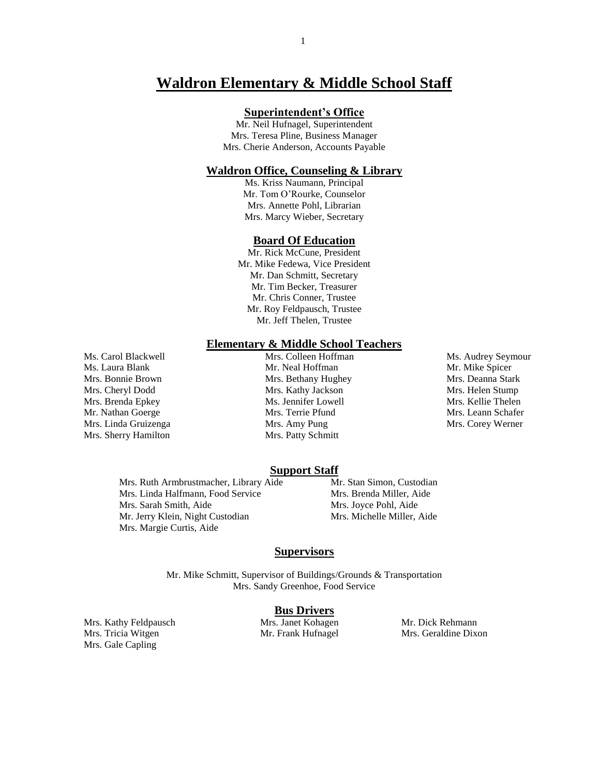# **Waldron Elementary & Middle School Staff**

## **Superintendent's Office**

Mr. Neil Hufnagel, Superintendent Mrs. Teresa Pline, Business Manager Mrs. Cherie Anderson, Accounts Payable

## **Waldron Office, Counseling & Library**

Ms. Kriss Naumann, Principal Mr. Tom O'Rourke, Counselor Mrs. Annette Pohl, Librarian Mrs. Marcy Wieber, Secretary

#### **Board Of Education**

Mr. Rick McCune, President Mr. Mike Fedewa, Vice President Mr. Dan Schmitt, Secretary Mr. Tim Becker, Treasurer Mr. Chris Conner, Trustee Mr. Roy Feldpausch, Trustee Mr. Jeff Thelen, Trustee

## **Elementary & Middle School Teachers**

Ms. Carol Blackwell Ms. Laura Blank Mrs. Bonnie Brown Mrs. Cheryl Dodd Mrs. Brenda Epkey Mr. Nathan Goerge Mrs. Linda Gruizenga Mrs. Sherry Hamilton

Mrs. Colleen Hoffman Mr. Neal Hoffman Mrs. Bethany Hughey Mrs. Kathy Jackson Ms. Jennifer Lowell Mrs. Terrie Pfund Mrs. Amy Pung Mrs. Patty Schmitt

Ms. Audrey Seymour Mr. Mike Spicer Mrs. Deanna Stark Mrs. Helen Stump Mrs. Kellie Thelen Mrs. Leann Schafer Mrs. Corey Werner

## **Support Staff**

Mrs. Ruth Armbrustmacher, Library Aide Mr. Stan Simon, Custodian Mrs. Linda Halfmann, Food Service Mrs. Brenda Miller, Aide Mrs. Sarah Smith, Aide Mrs. Joyce Pohl, Aide Mr. Jerry Klein, Night Custodian Mrs. Michelle Miller, Aide Mrs. Margie Curtis, Aide

## **Supervisors**

Mr. Mike Schmitt, Supervisor of Buildings/Grounds & Transportation Mrs. Sandy Greenhoe, Food Service

## **Bus Drivers**

Mrs. Tricia Witgen Mr. Frank Hufnagel Mrs. Geraldine Dixon Mrs. Gale Capling

Mrs. Kathy Feldpausch Mrs. Janet Kohagen Mr. Dick Rehmann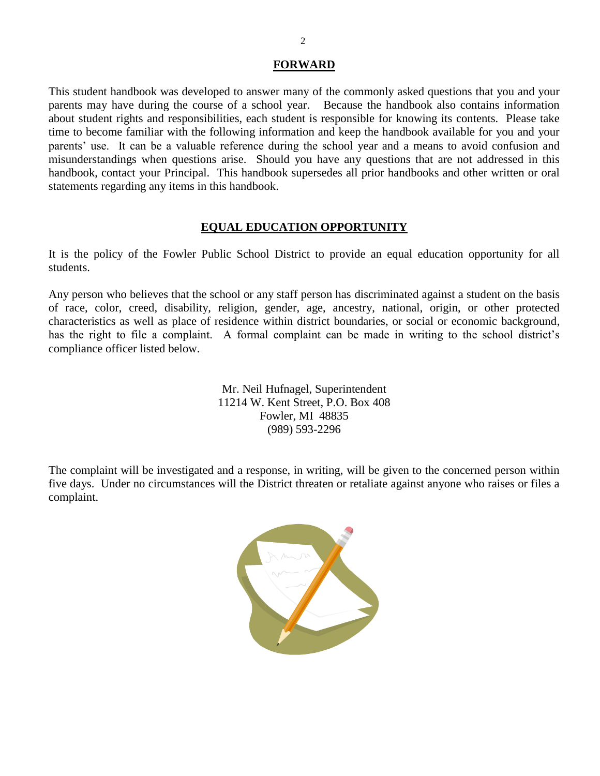## **FORWARD**

This student handbook was developed to answer many of the commonly asked questions that you and your parents may have during the course of a school year. Because the handbook also contains information about student rights and responsibilities, each student is responsible for knowing its contents. Please take time to become familiar with the following information and keep the handbook available for you and your parents' use. It can be a valuable reference during the school year and a means to avoid confusion and misunderstandings when questions arise. Should you have any questions that are not addressed in this handbook, contact your Principal. This handbook supersedes all prior handbooks and other written or oral statements regarding any items in this handbook.

## **EQUAL EDUCATION OPPORTUNITY**

It is the policy of the Fowler Public School District to provide an equal education opportunity for all students.

Any person who believes that the school or any staff person has discriminated against a student on the basis of race, color, creed, disability, religion, gender, age, ancestry, national, origin, or other protected characteristics as well as place of residence within district boundaries, or social or economic background, has the right to file a complaint. A formal complaint can be made in writing to the school district's compliance officer listed below.

> Mr. Neil Hufnagel, Superintendent 11214 W. Kent Street, P.O. Box 408 Fowler, MI 48835 (989) 593-2296

The complaint will be investigated and a response, in writing, will be given to the concerned person within five days. Under no circumstances will the District threaten or retaliate against anyone who raises or files a complaint.

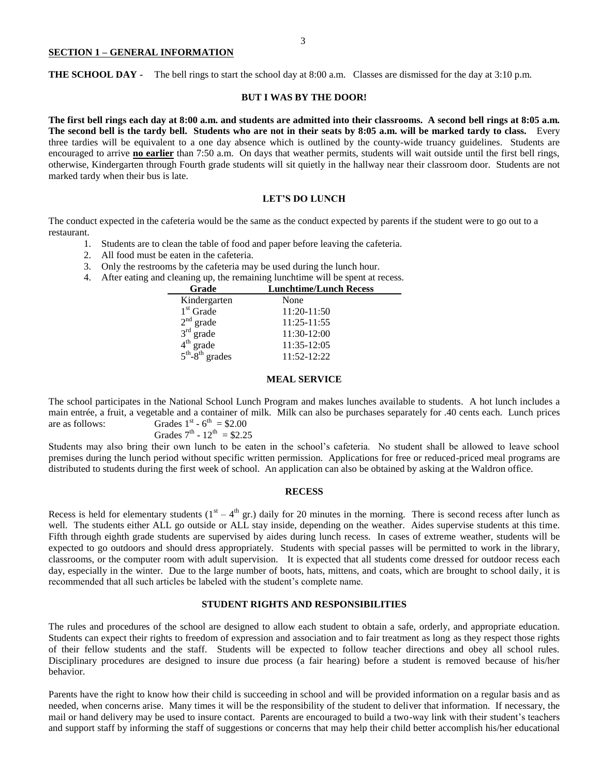#### **SECTION 1 – GENERAL INFORMATION**

**THE SCHOOL DAY** - The bell rings to start the school day at 8:00 a.m. Classes are dismissed for the day at 3:10 p.m.

## **BUT I WAS BY THE DOOR!**

**The first bell rings each day at 8:00 a.m. and students are admitted into their classrooms. A second bell rings at 8:05 a.m. The second bell is the tardy bell. Students who are not in their seats by 8:05 a.m. will be marked tardy to class.** Every three tardies will be equivalent to a one day absence which is outlined by the county-wide truancy guidelines. Students are encouraged to arrive **no earlier** than 7:50 a.m. On days that weather permits, students will wait outside until the first bell rings, otherwise, Kindergarten through Fourth grade students will sit quietly in the hallway near their classroom door. Students are not marked tardy when their bus is late.

#### **LET'S DO LUNCH**

The conduct expected in the cafeteria would be the same as the conduct expected by parents if the student were to go out to a restaurant.

- 1. Students are to clean the table of food and paper before leaving the cafeteria.
- 2. All food must be eaten in the cafeteria.
- 3. Only the restrooms by the cafeteria may be used during the lunch hour.
- 4. After eating and cleaning up, the remaining lunchtime will be spent at recess.

| Grade              | <b>Lunchtime/Lunch Recess</b> |
|--------------------|-------------------------------|
| Kindergarten       | None                          |
| $1st$ Grade        | 11:20-11:50                   |
| $2nd$ grade        | $11:25 - 11:55$               |
| $3rd$ grade        | 11:30-12:00                   |
| $4th$ grade        | 11:35-12:05                   |
| $5th - 8th$ grades | 11:52-12:22                   |

## **MEAL SERVICE**

The school participates in the National School Lunch Program and makes lunches available to students. A hot lunch includes a main entrée, a fruit, a vegetable and a container of milk. Milk can also be purchases separately for .40 cents each. Lunch prices are as follows:  $-6^{\text{th}} = $2.00$ 

Grades  $7^{th}$  -  $12^{th}$  = \$2.25

Students may also bring their own lunch to be eaten in the school's cafeteria. No student shall be allowed to leave school premises during the lunch period without specific written permission. Applications for free or reduced-priced meal programs are distributed to students during the first week of school. An application can also be obtained by asking at the Waldron office.

## **RECESS**

Recess is held for elementary students  $(1<sup>st</sup> - 4<sup>th</sup>gr.)$  daily for 20 minutes in the morning. There is second recess after lunch as well. The students either ALL go outside or ALL stay inside, depending on the weather. Aides supervise students at this time. Fifth through eighth grade students are supervised by aides during lunch recess. In cases of extreme weather, students will be expected to go outdoors and should dress appropriately. Students with special passes will be permitted to work in the library, classrooms, or the computer room with adult supervision. It is expected that all students come dressed for outdoor recess each day, especially in the winter. Due to the large number of boots, hats, mittens, and coats, which are brought to school daily, it is recommended that all such articles be labeled with the student's complete name.

## **STUDENT RIGHTS AND RESPONSIBILITIES**

The rules and procedures of the school are designed to allow each student to obtain a safe, orderly, and appropriate education. Students can expect their rights to freedom of expression and association and to fair treatment as long as they respect those rights of their fellow students and the staff. Students will be expected to follow teacher directions and obey all school rules. Disciplinary procedures are designed to insure due process (a fair hearing) before a student is removed because of his/her behavior.

Parents have the right to know how their child is succeeding in school and will be provided information on a regular basis and as needed, when concerns arise. Many times it will be the responsibility of the student to deliver that information. If necessary, the mail or hand delivery may be used to insure contact. Parents are encouraged to build a two-way link with their student's teachers and support staff by informing the staff of suggestions or concerns that may help their child better accomplish his/her educational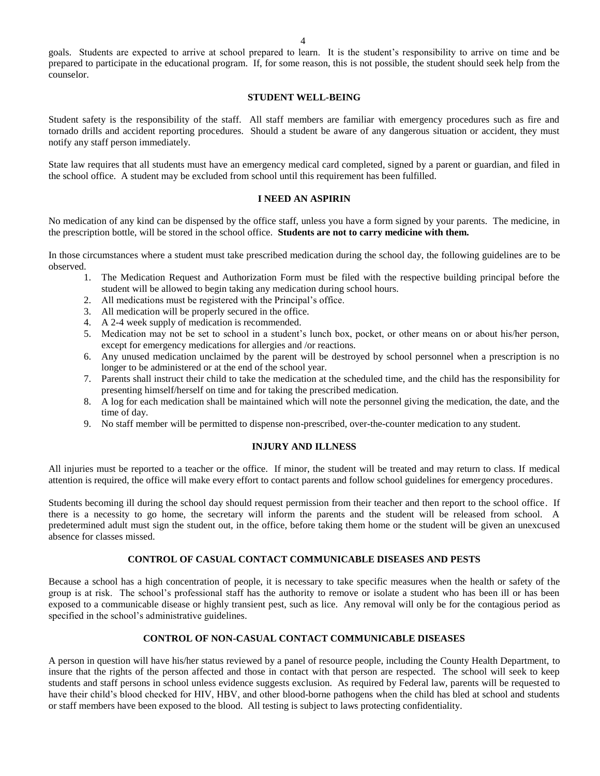goals. Students are expected to arrive at school prepared to learn. It is the student's responsibility to arrive on time and be prepared to participate in the educational program. If, for some reason, this is not possible, the student should seek help from the counselor.

## **STUDENT WELL-BEING**

Student safety is the responsibility of the staff. All staff members are familiar with emergency procedures such as fire and tornado drills and accident reporting procedures. Should a student be aware of any dangerous situation or accident, they must notify any staff person immediately.

State law requires that all students must have an emergency medical card completed, signed by a parent or guardian, and filed in the school office. A student may be excluded from school until this requirement has been fulfilled.

#### **I NEED AN ASPIRIN**

No medication of any kind can be dispensed by the office staff, unless you have a form signed by your parents. The medicine, in the prescription bottle, will be stored in the school office. **Students are not to carry medicine with them.** 

In those circumstances where a student must take prescribed medication during the school day, the following guidelines are to be observed.

- 1. The Medication Request and Authorization Form must be filed with the respective building principal before the student will be allowed to begin taking any medication during school hours.
- 2. All medications must be registered with the Principal's office.
- 3. All medication will be properly secured in the office.
- 4. A 2-4 week supply of medication is recommended.
- 5. Medication may not be set to school in a student's lunch box, pocket, or other means on or about his/her person, except for emergency medications for allergies and /or reactions.
- 6. Any unused medication unclaimed by the parent will be destroyed by school personnel when a prescription is no longer to be administered or at the end of the school year.
- 7. Parents shall instruct their child to take the medication at the scheduled time, and the child has the responsibility for presenting himself/herself on time and for taking the prescribed medication.
- 8. A log for each medication shall be maintained which will note the personnel giving the medication, the date, and the time of day.
- 9. No staff member will be permitted to dispense non-prescribed, over-the-counter medication to any student.

#### **INJURY AND ILLNESS**

All injuries must be reported to a teacher or the office. If minor, the student will be treated and may return to class. If medical attention is required, the office will make every effort to contact parents and follow school guidelines for emergency procedures.

Students becoming ill during the school day should request permission from their teacher and then report to the school office. If there is a necessity to go home, the secretary will inform the parents and the student will be released from school. A predetermined adult must sign the student out, in the office, before taking them home or the student will be given an unexcused absence for classes missed.

#### **CONTROL OF CASUAL CONTACT COMMUNICABLE DISEASES AND PESTS**

Because a school has a high concentration of people, it is necessary to take specific measures when the health or safety of the group is at risk. The school's professional staff has the authority to remove or isolate a student who has been ill or has been exposed to a communicable disease or highly transient pest, such as lice. Any removal will only be for the contagious period as specified in the school's administrative guidelines.

## **CONTROL OF NON-CASUAL CONTACT COMMUNICABLE DISEASES**

A person in question will have his/her status reviewed by a panel of resource people, including the County Health Department, to insure that the rights of the person affected and those in contact with that person are respected. The school will seek to keep students and staff persons in school unless evidence suggests exclusion. As required by Federal law, parents will be requested to have their child's blood checked for HIV, HBV, and other blood-borne pathogens when the child has bled at school and students or staff members have been exposed to the blood. All testing is subject to laws protecting confidentiality.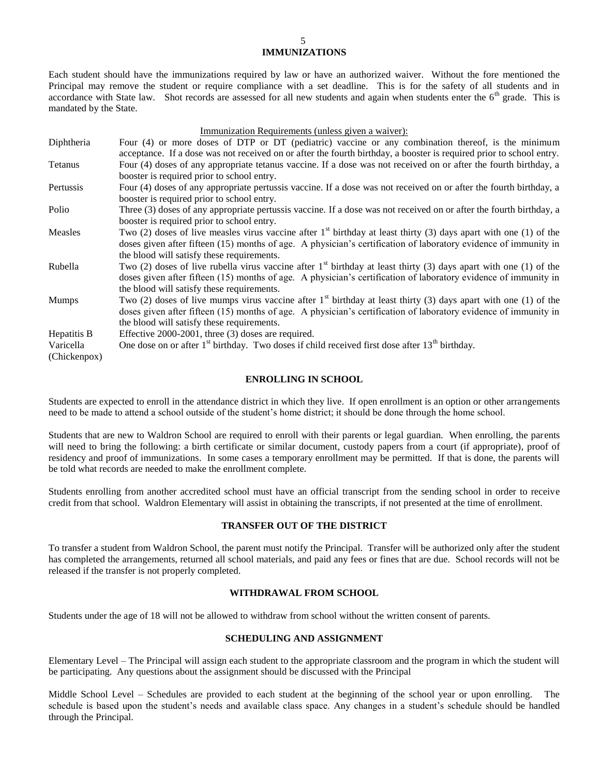## **IMMUNIZATIONS**

Each student should have the immunizations required by law or have an authorized waiver. Without the fore mentioned the Principal may remove the student or require compliance with a set deadline. This is for the safety of all students and in accordance with State law. Shot records are assessed for all new students and again when students enter the  $6<sup>th</sup>$  grade. This is mandated by the State.

Immunization Requirements (unless given a waiver):

| Diphtheria     | Four (4) or more doses of DTP or DT (pediatric) vaccine or any combination thereof, is the minimum                            |
|----------------|-------------------------------------------------------------------------------------------------------------------------------|
|                | acceptance. If a dose was not received on or after the fourth birthday, a booster is required prior to school entry.          |
| <b>Tetanus</b> | Four (4) doses of any appropriate tetanus vaccine. If a dose was not received on or after the fourth birthday, a              |
|                | booster is required prior to school entry.                                                                                    |
| Pertussis      | Four (4) doses of any appropriate pertussis vaccine. If a dose was not received on or after the fourth birthday, a            |
|                | booster is required prior to school entry.                                                                                    |
| Polio          | Three (3) doses of any appropriate pertussis vaccine. If a dose was not received on or after the fourth birthday, a           |
|                | booster is required prior to school entry.                                                                                    |
| Measles        | Two (2) doses of live measles virus vaccine after 1 <sup>st</sup> birthday at least thirty (3) days apart with one (1) of the |
|                | doses given after fifteen (15) months of age. A physician's certification of laboratory evidence of immunity in               |
|                | the blood will satisfy these requirements.                                                                                    |
| Rubella        | Two (2) doses of live rubella virus vaccine after $1st$ birthday at least thirty (3) days apart with one (1) of the           |
|                | doses given after fifteen (15) months of age. A physician's certification of laboratory evidence of immunity in               |
|                | the blood will satisfy these requirements.                                                                                    |
| <b>Mumps</b>   | Two (2) doses of live mumps virus vaccine after $1st$ birthday at least thirty (3) days apart with one (1) of the             |
|                | doses given after fifteen (15) months of age. A physician's certification of laboratory evidence of immunity in               |
|                | the blood will satisfy these requirements.                                                                                    |
| Hepatitis B    | Effective 2000-2001, three (3) doses are required.                                                                            |
| Varicella      | One dose on or after $1st$ birthday. Two doses if child received first dose after $13th$ birthday.                            |
| (Chickenpox)   |                                                                                                                               |
|                |                                                                                                                               |

## **ENROLLING IN SCHOOL**

Students are expected to enroll in the attendance district in which they live. If open enrollment is an option or other arrangements need to be made to attend a school outside of the student's home district; it should be done through the home school.

Students that are new to Waldron School are required to enroll with their parents or legal guardian. When enrolling, the parents will need to bring the following: a birth certificate or similar document, custody papers from a court (if appropriate), proof of residency and proof of immunizations. In some cases a temporary enrollment may be permitted. If that is done, the parents will be told what records are needed to make the enrollment complete.

Students enrolling from another accredited school must have an official transcript from the sending school in order to receive credit from that school. Waldron Elementary will assist in obtaining the transcripts, if not presented at the time of enrollment.

## **TRANSFER OUT OF THE DISTRICT**

To transfer a student from Waldron School, the parent must notify the Principal. Transfer will be authorized only after the student has completed the arrangements, returned all school materials, and paid any fees or fines that are due. School records will not be released if the transfer is not properly completed.

#### **WITHDRAWAL FROM SCHOOL**

Students under the age of 18 will not be allowed to withdraw from school without the written consent of parents.

## **SCHEDULING AND ASSIGNMENT**

Elementary Level – The Principal will assign each student to the appropriate classroom and the program in which the student will be participating. Any questions about the assignment should be discussed with the Principal

Middle School Level – Schedules are provided to each student at the beginning of the school year or upon enrolling. The schedule is based upon the student's needs and available class space. Any changes in a student's schedule should be handled through the Principal.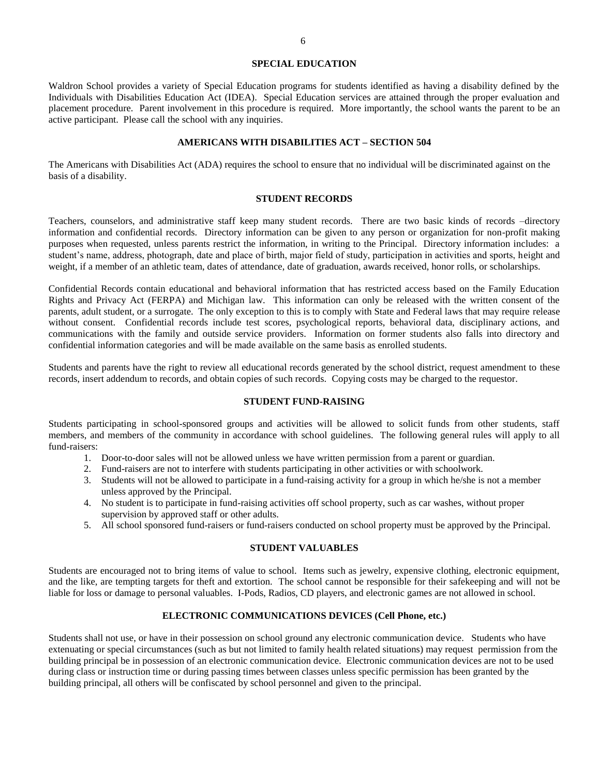## **SPECIAL EDUCATION**

Waldron School provides a variety of Special Education programs for students identified as having a disability defined by the Individuals with Disabilities Education Act (IDEA). Special Education services are attained through the proper evaluation and placement procedure. Parent involvement in this procedure is required. More importantly, the school wants the parent to be an active participant. Please call the school with any inquiries.

## **AMERICANS WITH DISABILITIES ACT – SECTION 504**

The Americans with Disabilities Act (ADA) requires the school to ensure that no individual will be discriminated against on the basis of a disability.

#### **STUDENT RECORDS**

Teachers, counselors, and administrative staff keep many student records. There are two basic kinds of records –directory information and confidential records. Directory information can be given to any person or organization for non-profit making purposes when requested, unless parents restrict the information, in writing to the Principal. Directory information includes: a student's name, address, photograph, date and place of birth, major field of study, participation in activities and sports, height and weight, if a member of an athletic team, dates of attendance, date of graduation, awards received, honor rolls, or scholarships.

Confidential Records contain educational and behavioral information that has restricted access based on the Family Education Rights and Privacy Act (FERPA) and Michigan law. This information can only be released with the written consent of the parents, adult student, or a surrogate. The only exception to this is to comply with State and Federal laws that may require release without consent. Confidential records include test scores, psychological reports, behavioral data, disciplinary actions, and communications with the family and outside service providers. Information on former students also falls into directory and confidential information categories and will be made available on the same basis as enrolled students.

Students and parents have the right to review all educational records generated by the school district, request amendment to these records, insert addendum to records, and obtain copies of such records. Copying costs may be charged to the requestor.

#### **STUDENT FUND-RAISING**

Students participating in school-sponsored groups and activities will be allowed to solicit funds from other students, staff members, and members of the community in accordance with school guidelines. The following general rules will apply to all fund-raisers:

- 1. Door-to-door sales will not be allowed unless we have written permission from a parent or guardian.
- 2. Fund-raisers are not to interfere with students participating in other activities or with schoolwork.
- 3. Students will not be allowed to participate in a fund-raising activity for a group in which he/she is not a member unless approved by the Principal.
- 4. No student is to participate in fund-raising activities off school property, such as car washes, without proper supervision by approved staff or other adults.
- 5. All school sponsored fund-raisers or fund-raisers conducted on school property must be approved by the Principal.

#### **STUDENT VALUABLES**

Students are encouraged not to bring items of value to school. Items such as jewelry, expensive clothing, electronic equipment, and the like, are tempting targets for theft and extortion. The school cannot be responsible for their safekeeping and will not be liable for loss or damage to personal valuables. I-Pods, Radios, CD players, and electronic games are not allowed in school.

## **ELECTRONIC COMMUNICATIONS DEVICES (Cell Phone, etc.)**

Students shall not use, or have in their possession on school ground any electronic communication device. Students who have extenuating or special circumstances (such as but not limited to family health related situations) may request permission from the building principal be in possession of an electronic communication device. Electronic communication devices are not to be used during class or instruction time or during passing times between classes unless specific permission has been granted by the building principal, all others will be confiscated by school personnel and given to the principal.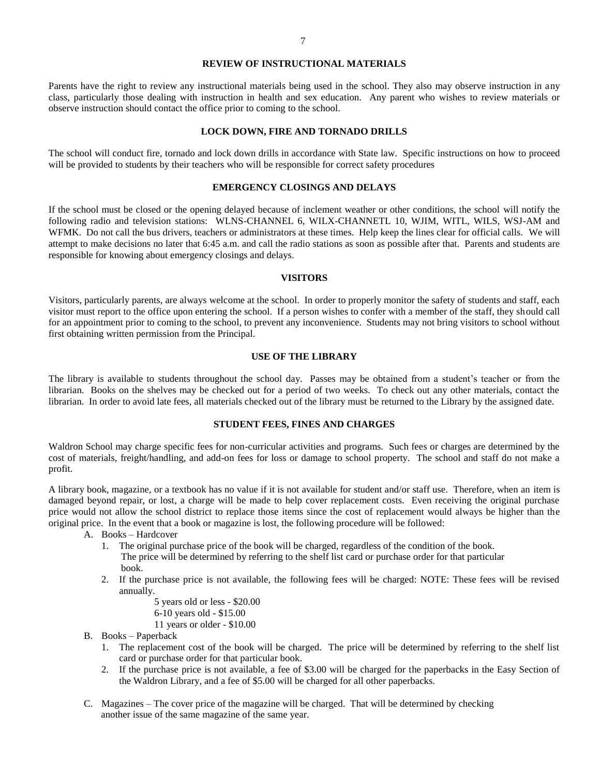## **REVIEW OF INSTRUCTIONAL MATERIALS**

Parents have the right to review any instructional materials being used in the school. They also may observe instruction in any class, particularly those dealing with instruction in health and sex education. Any parent who wishes to review materials or observe instruction should contact the office prior to coming to the school.

#### **LOCK DOWN, FIRE AND TORNADO DRILLS**

The school will conduct fire, tornado and lock down drills in accordance with State law. Specific instructions on how to proceed will be provided to students by their teachers who will be responsible for correct safety procedures

#### **EMERGENCY CLOSINGS AND DELAYS**

If the school must be closed or the opening delayed because of inclement weather or other conditions, the school will notify the following radio and television stations: WLNS-CHANNEL 6, WILX-CHANNETL 10, WJIM, WITL, WILS, WSJ-AM and WFMK. Do not call the bus drivers, teachers or administrators at these times. Help keep the lines clear for official calls. We will attempt to make decisions no later that 6:45 a.m. and call the radio stations as soon as possible after that. Parents and students are responsible for knowing about emergency closings and delays.

#### **VISITORS**

Visitors, particularly parents, are always welcome at the school. In order to properly monitor the safety of students and staff, each visitor must report to the office upon entering the school. If a person wishes to confer with a member of the staff, they should call for an appointment prior to coming to the school, to prevent any inconvenience. Students may not bring visitors to school without first obtaining written permission from the Principal.

#### **USE OF THE LIBRARY**

The library is available to students throughout the school day. Passes may be obtained from a student's teacher or from the librarian. Books on the shelves may be checked out for a period of two weeks. To check out any other materials, contact the librarian. In order to avoid late fees, all materials checked out of the library must be returned to the Library by the assigned date.

#### **STUDENT FEES, FINES AND CHARGES**

Waldron School may charge specific fees for non-curricular activities and programs. Such fees or charges are determined by the cost of materials, freight/handling, and add-on fees for loss or damage to school property. The school and staff do not make a profit.

A library book, magazine, or a textbook has no value if it is not available for student and/or staff use. Therefore, when an item is damaged beyond repair, or lost, a charge will be made to help cover replacement costs. Even receiving the original purchase price would not allow the school district to replace those items since the cost of replacement would always be higher than the original price. In the event that a book or magazine is lost, the following procedure will be followed:

- A. Books Hardcover
	- 1. The original purchase price of the book will be charged, regardless of the condition of the book. The price will be determined by referring to the shelf list card or purchase order for that particular book.
	- 2. If the purchase price is not available, the following fees will be charged: NOTE: These fees will be revised annually.

5 years old or less - \$20.00 6-10 years old - \$15.00 11 years or older - \$10.00

- B. Books Paperback
	- 1. The replacement cost of the book will be charged. The price will be determined by referring to the shelf list card or purchase order for that particular book.
	- 2. If the purchase price is not available, a fee of \$3.00 will be charged for the paperbacks in the Easy Section of the Waldron Library, and a fee of \$5.00 will be charged for all other paperbacks.
- C. Magazines The cover price of the magazine will be charged. That will be determined by checking another issue of the same magazine of the same year.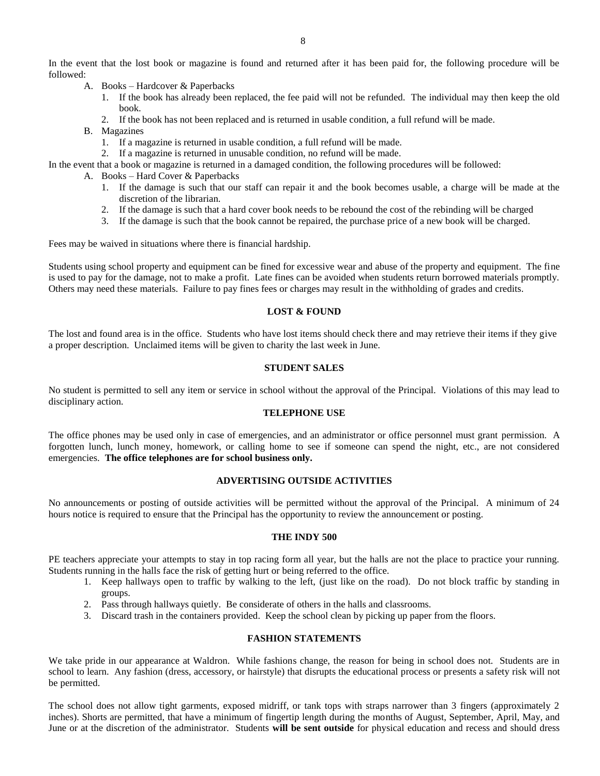In the event that the lost book or magazine is found and returned after it has been paid for, the following procedure will be followed:

- A. Books Hardcover & Paperbacks
	- 1. If the book has already been replaced, the fee paid will not be refunded. The individual may then keep the old book.
	- 2. If the book has not been replaced and is returned in usable condition, a full refund will be made.
- B. Magazines
	- 1. If a magazine is returned in usable condition, a full refund will be made.
	- 2. If a magazine is returned in unusable condition, no refund will be made.

In the event that a book or magazine is returned in a damaged condition, the following procedures will be followed:

- A. Books Hard Cover & Paperbacks
	- 1. If the damage is such that our staff can repair it and the book becomes usable, a charge will be made at the discretion of the librarian.
	- 2. If the damage is such that a hard cover book needs to be rebound the cost of the rebinding will be charged
	- 3. If the damage is such that the book cannot be repaired, the purchase price of a new book will be charged.

Fees may be waived in situations where there is financial hardship.

Students using school property and equipment can be fined for excessive wear and abuse of the property and equipment. The fine is used to pay for the damage, not to make a profit. Late fines can be avoided when students return borrowed materials promptly. Others may need these materials. Failure to pay fines fees or charges may result in the withholding of grades and credits.

## **LOST & FOUND**

The lost and found area is in the office. Students who have lost items should check there and may retrieve their items if they give a proper description. Unclaimed items will be given to charity the last week in June.

## **STUDENT SALES**

No student is permitted to sell any item or service in school without the approval of the Principal. Violations of this may lead to disciplinary action.

## **TELEPHONE USE**

The office phones may be used only in case of emergencies, and an administrator or office personnel must grant permission. A forgotten lunch, lunch money, homework, or calling home to see if someone can spend the night, etc., are not considered emergencies. **The office telephones are for school business only.** 

## **ADVERTISING OUTSIDE ACTIVITIES**

No announcements or posting of outside activities will be permitted without the approval of the Principal. A minimum of 24 hours notice is required to ensure that the Principal has the opportunity to review the announcement or posting.

## **THE INDY 500**

PE teachers appreciate your attempts to stay in top racing form all year, but the halls are not the place to practice your running. Students running in the halls face the risk of getting hurt or being referred to the office.

- 1. Keep hallways open to traffic by walking to the left, (just like on the road). Do not block traffic by standing in groups.
- 2. Pass through hallways quietly. Be considerate of others in the halls and classrooms.
- 3. Discard trash in the containers provided. Keep the school clean by picking up paper from the floors.

## **FASHION STATEMENTS**

We take pride in our appearance at Waldron. While fashions change, the reason for being in school does not. Students are in school to learn. Any fashion (dress, accessory, or hairstyle) that disrupts the educational process or presents a safety risk will not be permitted.

The school does not allow tight garments, exposed midriff, or tank tops with straps narrower than 3 fingers (approximately 2 inches). Shorts are permitted, that have a minimum of fingertip length during the months of August, September, April, May, and June or at the discretion of the administrator. Students **will be sent outside** for physical education and recess and should dress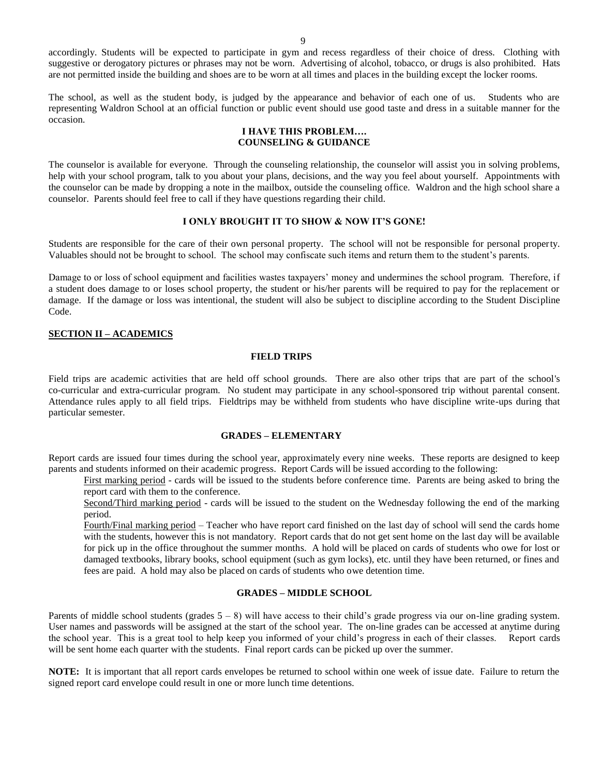accordingly. Students will be expected to participate in gym and recess regardless of their choice of dress. Clothing with suggestive or derogatory pictures or phrases may not be worn. Advertising of alcohol, tobacco, or drugs is also prohibited. Hats are not permitted inside the building and shoes are to be worn at all times and places in the building except the locker rooms.

The school, as well as the student body, is judged by the appearance and behavior of each one of us. Students who are representing Waldron School at an official function or public event should use good taste and dress in a suitable manner for the occasion.

#### **I HAVE THIS PROBLEM…. COUNSELING & GUIDANCE**

The counselor is available for everyone. Through the counseling relationship, the counselor will assist you in solving problems, help with your school program, talk to you about your plans, decisions, and the way you feel about yourself. Appointments with the counselor can be made by dropping a note in the mailbox, outside the counseling office. Waldron and the high school share a counselor. Parents should feel free to call if they have questions regarding their child.

## **I ONLY BROUGHT IT TO SHOW & NOW IT'S GONE!**

Students are responsible for the care of their own personal property. The school will not be responsible for personal property. Valuables should not be brought to school. The school may confiscate such items and return them to the student's parents.

Damage to or loss of school equipment and facilities wastes taxpayers' money and undermines the school program. Therefore, if a student does damage to or loses school property, the student or his/her parents will be required to pay for the replacement or damage. If the damage or loss was intentional, the student will also be subject to discipline according to the Student Discipline Code.

## **SECTION II – ACADEMICS**

#### **FIELD TRIPS**

Field trips are academic activities that are held off school grounds. There are also other trips that are part of the school's co-curricular and extra-curricular program. No student may participate in any school-sponsored trip without parental consent. Attendance rules apply to all field trips. Fieldtrips may be withheld from students who have discipline write-ups during that particular semester.

#### **GRADES – ELEMENTARY**

Report cards are issued four times during the school year, approximately every nine weeks. These reports are designed to keep parents and students informed on their academic progress. Report Cards will be issued according to the following:

First marking period - cards will be issued to the students before conference time. Parents are being asked to bring the report card with them to the conference.

Second/Third marking period - cards will be issued to the student on the Wednesday following the end of the marking period.

Fourth/Final marking period – Teacher who have report card finished on the last day of school will send the cards home with the students, however this is not mandatory. Report cards that do not get sent home on the last day will be available for pick up in the office throughout the summer months. A hold will be placed on cards of students who owe for lost or damaged textbooks, library books, school equipment (such as gym locks), etc. until they have been returned, or fines and fees are paid. A hold may also be placed on cards of students who owe detention time.

## **GRADES – MIDDLE SCHOOL**

Parents of middle school students (grades  $5 - 8$ ) will have access to their child's grade progress via our on-line grading system. User names and passwords will be assigned at the start of the school year. The on-line grades can be accessed at anytime during the school year. This is a great tool to help keep you informed of your child's progress in each of their classes. Report cards will be sent home each quarter with the students. Final report cards can be picked up over the summer.

**NOTE:** It is important that all report cards envelopes be returned to school within one week of issue date. Failure to return the signed report card envelope could result in one or more lunch time detentions.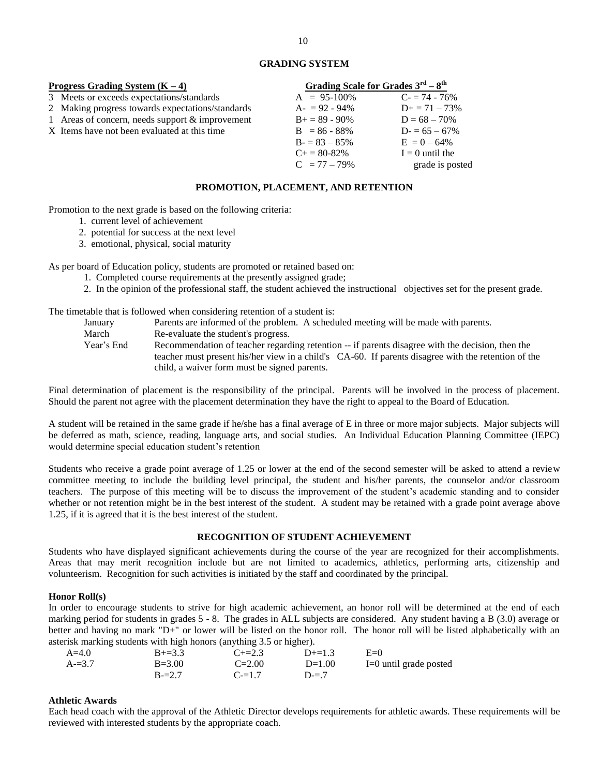## **GRADING SYSTEM**

| Progress Grading System $(K-4)$                   | Grading Scale for Grades $3^{rd} - 8^{th}$ |                       |
|---------------------------------------------------|--------------------------------------------|-----------------------|
| 3 Meets or exceeds expectations/standards         | $A = 95-100\%$                             | $C = 74 - 76\%$       |
| 2 Making progress towards expectations/standards  | $A = 92 - 94\%$                            | $D_{\pm} = 71 - 73\%$ |
| 1 Areas of concern, needs support $&$ improvement | $B_0 = 89 - 90\%$                          | $D = 68 - 70%$        |
| X Items have not been evaluated at this time      | $B = 86 - 88\%$                            | $D = 65 - 67\%$       |
|                                                   | $B = 83 - 85\%$                            | $E = 0 - 64\%$        |
|                                                   | $C_{+} = 80 - 82\%$                        | $I = 0$ until the     |
|                                                   | $C = 77 - 79\%$                            | grade is posted       |

## **PROMOTION, PLACEMENT, AND RETENTION**

Promotion to the next grade is based on the following criteria:

- 1. current level of achievement
- 2. potential for success at the next level
- 3. emotional, physical, social maturity

As per board of Education policy, students are promoted or retained based on:

- 1. Completed course requirements at the presently assigned grade;
- 2. In the opinion of the professional staff, the student achieved the instructional objectives set for the present grade.

The timetable that is followed when considering retention of a student is:

| January                                                                                                        | Parents are informed of the problem. A scheduled meeting will be made with parents.                 |  |
|----------------------------------------------------------------------------------------------------------------|-----------------------------------------------------------------------------------------------------|--|
| March                                                                                                          | Re-evaluate the student's progress.                                                                 |  |
| Year's End<br>Recommendation of teacher regarding retention -- if parents disagree with the decision, then the |                                                                                                     |  |
|                                                                                                                | teacher must present his/her view in a child's CA-60. If parents disagree with the retention of the |  |
|                                                                                                                | child, a waiver form must be signed parents.                                                        |  |

Final determination of placement is the responsibility of the principal. Parents will be involved in the process of placement. Should the parent not agree with the placement determination they have the right to appeal to the Board of Education.

A student will be retained in the same grade if he/she has a final average of E in three or more major subjects. Major subjects will be deferred as math, science, reading, language arts, and social studies. An Individual Education Planning Committee (IEPC) would determine special education student's retention

Students who receive a grade point average of 1.25 or lower at the end of the second semester will be asked to attend a review committee meeting to include the building level principal, the student and his/her parents, the counselor and/or classroom teachers. The purpose of this meeting will be to discuss the improvement of the student's academic standing and to consider whether or not retention might be in the best interest of the student. A student may be retained with a grade point average above 1.25, if it is agreed that it is the best interest of the student.

#### **RECOGNITION OF STUDENT ACHIEVEMENT**

Students who have displayed significant achievements during the course of the year are recognized for their accomplishments. Areas that may merit recognition include but are not limited to academics, athletics, performing arts, citizenship and volunteerism. Recognition for such activities is initiated by the staff and coordinated by the principal.

#### **Honor Roll(s)**

In order to encourage students to strive for high academic achievement, an honor roll will be determined at the end of each marking period for students in grades 5 - 8. The grades in ALL subjects are considered. Any student having a B (3.0) average or better and having no mark "D+" or lower will be listed on the honor roll. The honor roll will be listed alphabetically with an asterisk marking students with high honors (anything 3.5 or higher).

| $A=4.0$   | $B+=3.3$   | $C+=2.3$   | $D+=1.3$ | $E=0$                    |
|-----------|------------|------------|----------|--------------------------|
| $A = 3.7$ | $B = 3.00$ | $C = 2.00$ | $D=1.00$ | $I=0$ until grade posted |
|           | $B = 2.7$  | $C = 1.7$  | $D = 7$  |                          |

## **Athletic Awards**

Each head coach with the approval of the Athletic Director develops requirements for athletic awards. These requirements will be reviewed with interested students by the appropriate coach.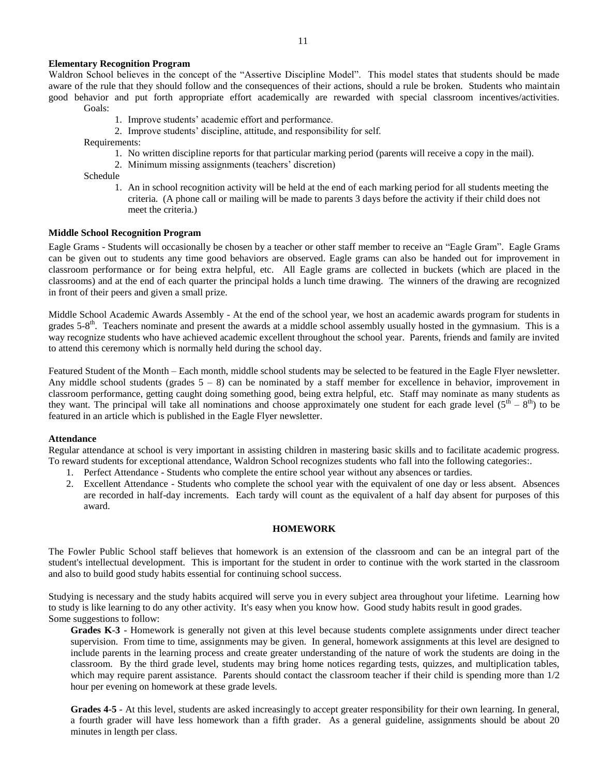## **Elementary Recognition Program**

Waldron School believes in the concept of the "Assertive Discipline Model". This model states that students should be made aware of the rule that they should follow and the consequences of their actions, should a rule be broken. Students who maintain good behavior and put forth appropriate effort academically are rewarded with special classroom incentives/activities. Goals:

- 1. Improve students' academic effort and performance.
- 2. Improve students' discipline, attitude, and responsibility for self.

Requirements:

- 1. No written discipline reports for that particular marking period (parents will receive a copy in the mail).
- 2. Minimum missing assignments (teachers' discretion)

Schedule

1. An in school recognition activity will be held at the end of each marking period for all students meeting the criteria. (A phone call or mailing will be made to parents 3 days before the activity if their child does not meet the criteria.)

#### **Middle School Recognition Program**

Eagle Grams - Students will occasionally be chosen by a teacher or other staff member to receive an "Eagle Gram". Eagle Grams can be given out to students any time good behaviors are observed. Eagle grams can also be handed out for improvement in classroom performance or for being extra helpful, etc. All Eagle grams are collected in buckets (which are placed in the classrooms) and at the end of each quarter the principal holds a lunch time drawing. The winners of the drawing are recognized in front of their peers and given a small prize.

Middle School Academic Awards Assembly - At the end of the school year, we host an academic awards program for students in grades 5-8<sup>th</sup>. Teachers nominate and present the awards at a middle school assembly usually hosted in the gymnasium. This is a way recognize students who have achieved academic excellent throughout the school year. Parents, friends and family are invited to attend this ceremony which is normally held during the school day.

Featured Student of the Month – Each month, middle school students may be selected to be featured in the Eagle Flyer newsletter. Any middle school students (grades  $5 - 8$ ) can be nominated by a staff member for excellence in behavior, improvement in classroom performance, getting caught doing something good, being extra helpful, etc. Staff may nominate as many students as they want. The principal will take all nominations and choose approximately one student for each grade level  $(5^{th} - 8^{th})$  to be featured in an article which is published in the Eagle Flyer newsletter.

#### **Attendance**

Regular attendance at school is very important in assisting children in mastering basic skills and to facilitate academic progress. To reward students for exceptional attendance, Waldron School recognizes students who fall into the following categories:.

- 1. Perfect Attendance Students who complete the entire school year without any absences or tardies.
- 2. Excellent Attendance Students who complete the school year with the equivalent of one day or less absent. Absences are recorded in half-day increments. Each tardy will count as the equivalent of a half day absent for purposes of this award.

## **HOMEWORK**

The Fowler Public School staff believes that homework is an extension of the classroom and can be an integral part of the student's intellectual development. This is important for the student in order to continue with the work started in the classroom and also to build good study habits essential for continuing school success.

Studying is necessary and the study habits acquired will serve you in every subject area throughout your lifetime. Learning how to study is like learning to do any other activity. It's easy when you know how. Good study habits result in good grades. Some suggestions to follow:

**Grades K-3** - Homework is generally not given at this level because students complete assignments under direct teacher supervision. From time to time, assignments may be given. In general, homework assignments at this level are designed to include parents in the learning process and create greater understanding of the nature of work the students are doing in the classroom. By the third grade level, students may bring home notices regarding tests, quizzes, and multiplication tables, which may require parent assistance. Parents should contact the classroom teacher if their child is spending more than  $1/2$ hour per evening on homework at these grade levels.

**Grades 4-5** - At this level, students are asked increasingly to accept greater responsibility for their own learning. In general, a fourth grader will have less homework than a fifth grader. As a general guideline, assignments should be about 20 minutes in length per class.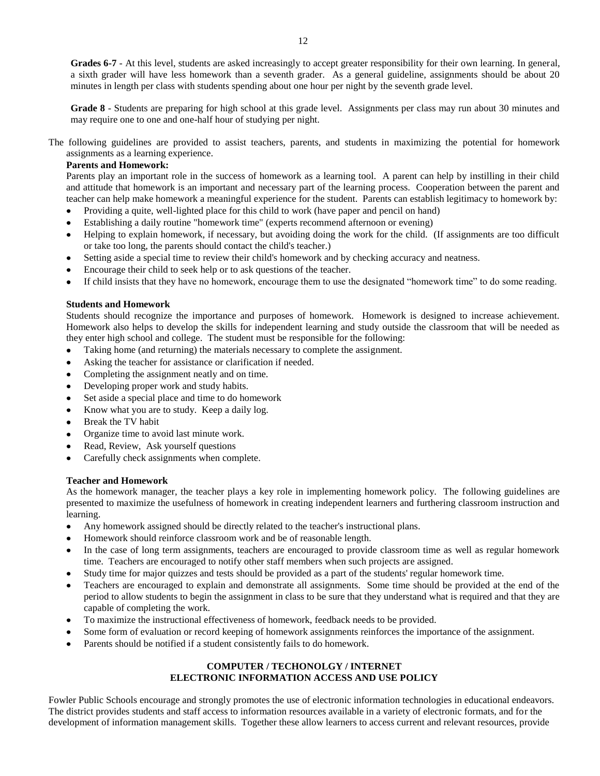**Grades 6-7** - At this level, students are asked increasingly to accept greater responsibility for their own learning. In general, a sixth grader will have less homework than a seventh grader. As a general guideline, assignments should be about 20 minutes in length per class with students spending about one hour per night by the seventh grade level.

**Grade 8** - Students are preparing for high school at this grade level. Assignments per class may run about 30 minutes and may require one to one and one-half hour of studying per night.

The following guidelines are provided to assist teachers, parents, and students in maximizing the potential for homework assignments as a learning experience.

## **Parents and Homework:**

Parents play an important role in the success of homework as a learning tool. A parent can help by instilling in their child and attitude that homework is an important and necessary part of the learning process. Cooperation between the parent and teacher can help make homework a meaningful experience for the student. Parents can establish legitimacy to homework by:

- Providing a quite, well-lighted place for this child to work (have paper and pencil on hand)
- Establishing a daily routine "homework time" (experts recommend afternoon or evening)
- Helping to explain homework, if necessary, but avoiding doing the work for the child. (If assignments are too difficult or take too long, the parents should contact the child's teacher.)
- Setting aside a special time to review their child's homework and by checking accuracy and neatness.
- Encourage their child to seek help or to ask questions of the teacher.
- If child insists that they have no homework, encourage them to use the designated "homework time" to do some reading.

## **Students and Homework**

Students should recognize the importance and purposes of homework. Homework is designed to increase achievement. Homework also helps to develop the skills for independent learning and study outside the classroom that will be needed as they enter high school and college. The student must be responsible for the following:

- Taking home (and returning) the materials necessary to complete the assignment.
- Asking the teacher for assistance or clarification if needed.
- Completing the assignment neatly and on time.
- Developing proper work and study habits.
- Set aside a special place and time to do homework
- Know what you are to study. Keep a daily log.  $\bullet$
- Break the TV habit
- Organize time to avoid last minute work.
- Read, Review, Ask yourself questions
- Carefully check assignments when complete.

## **Teacher and Homework**

As the homework manager, the teacher plays a key role in implementing homework policy. The following guidelines are presented to maximize the usefulness of homework in creating independent learners and furthering classroom instruction and learning.

- Any homework assigned should be directly related to the teacher's instructional plans.  $\bullet$
- Homework should reinforce classroom work and be of reasonable length.
- In the case of long term assignments, teachers are encouraged to provide classroom time as well as regular homework time. Teachers are encouraged to notify other staff members when such projects are assigned.
- Study time for major quizzes and tests should be provided as a part of the students' regular homework time.
- Teachers are encouraged to explain and demonstrate all assignments. Some time should be provided at the end of the period to allow students to begin the assignment in class to be sure that they understand what is required and that they are capable of completing the work.
- To maximize the instructional effectiveness of homework, feedback needs to be provided.
- Some form of evaluation or record keeping of homework assignments reinforces the importance of the assignment.
- Parents should be notified if a student consistently fails to do homework.

## **COMPUTER / TECHONOLGY / INTERNET ELECTRONIC INFORMATION ACCESS AND USE POLICY**

Fowler Public Schools encourage and strongly promotes the use of electronic information technologies in educational endeavors. The district provides students and staff access to information resources available in a variety of electronic formats, and for the development of information management skills. Together these allow learners to access current and relevant resources, provide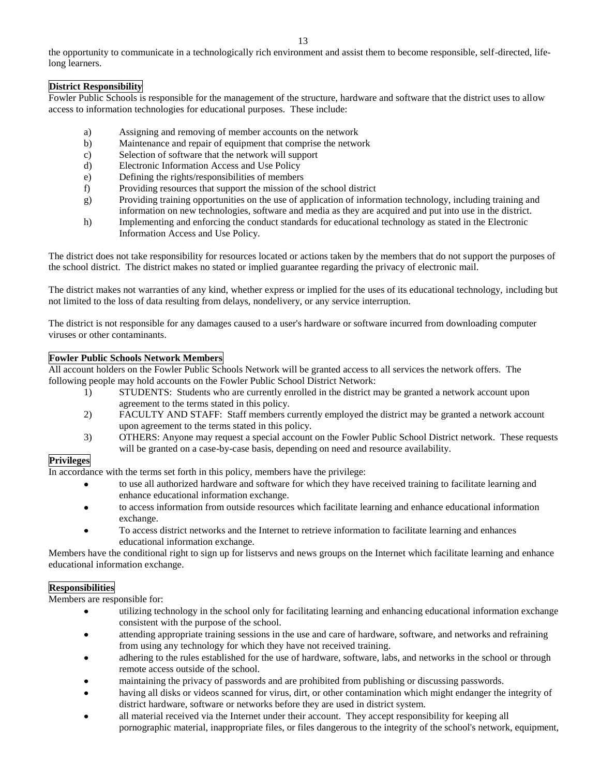the opportunity to communicate in a technologically rich environment and assist them to become responsible, self-directed, lifelong learners.

## **District Responsibility**

Fowler Public Schools is responsible for the management of the structure, hardware and software that the district uses to allow access to information technologies for educational purposes. These include:

- a) Assigning and removing of member accounts on the network
- b) Maintenance and repair of equipment that comprise the network
- c) Selection of software that the network will support
- d) Electronic Information Access and Use Policy
- e) Defining the rights/responsibilities of members
- f) Providing resources that support the mission of the school district
- g) Providing training opportunities on the use of application of information technology, including training and information on new technologies, software and media as they are acquired and put into use in the district.
- h) Implementing and enforcing the conduct standards for educational technology as stated in the Electronic Information Access and Use Policy.

The district does not take responsibility for resources located or actions taken by the members that do not support the purposes of the school district. The district makes no stated or implied guarantee regarding the privacy of electronic mail.

The district makes not warranties of any kind, whether express or implied for the uses of its educational technology, including but not limited to the loss of data resulting from delays, nondelivery, or any service interruption.

The district is not responsible for any damages caused to a user's hardware or software incurred from downloading computer viruses or other contaminants.

## **Fowler Public Schools Network Members**

All account holders on the Fowler Public Schools Network will be granted access to all services the network offers. The following people may hold accounts on the Fowler Public School District Network:

- 1) STUDENTS: Students who are currently enrolled in the district may be granted a network account upon agreement to the terms stated in this policy.
- 2) FACULTY AND STAFF: Staff members currently employed the district may be granted a network account upon agreement to the terms stated in this policy.
- 3) OTHERS: Anyone may request a special account on the Fowler Public School District network. These requests will be granted on a case-by-case basis, depending on need and resource availability.

## **Privileges**

In accordance with the terms set forth in this policy, members have the privilege:

- to use all authorized hardware and software for which they have received training to facilitate learning and enhance educational information exchange.
- to access information from outside resources which facilitate learning and enhance educational information  $\bullet$ exchange.
- To access district networks and the Internet to retrieve information to facilitate learning and enhances educational information exchange.

Members have the conditional right to sign up for listservs and news groups on the Internet which facilitate learning and enhance educational information exchange.

## **Responsibilities**

Members are responsible for:

- utilizing technology in the school only for facilitating learning and enhancing educational information exchange consistent with the purpose of the school.
- attending appropriate training sessions in the use and care of hardware, software, and networks and refraining from using any technology for which they have not received training.
- adhering to the rules established for the use of hardware, software, labs, and networks in the school or through remote access outside of the school.
- maintaining the privacy of passwords and are prohibited from publishing or discussing passwords.
- having all disks or videos scanned for virus, dirt, or other contamination which might endanger the integrity of district hardware, software or networks before they are used in district system.
- all material received via the Internet under their account. They accept responsibility for keeping all pornographic material, inappropriate files, or files dangerous to the integrity of the school's network, equipment,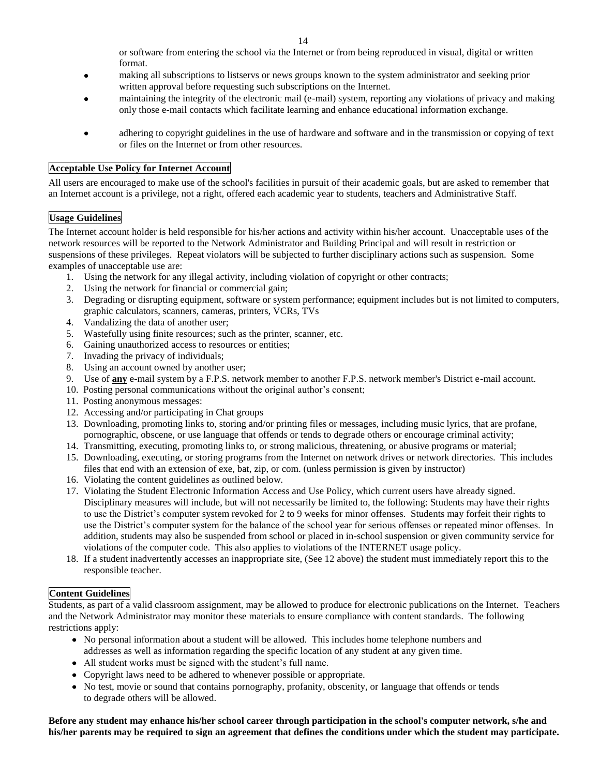or software from entering the school via the Internet or from being reproduced in visual, digital or written format.

- making all subscriptions to listservs or news groups known to the system administrator and seeking prior written approval before requesting such subscriptions on the Internet.
- maintaining the integrity of the electronic mail (e-mail) system, reporting any violations of privacy and making only those e-mail contacts which facilitate learning and enhance educational information exchange.
- adhering to copyright guidelines in the use of hardware and software and in the transmission or copying of text  $\bullet$ or files on the Internet or from other resources.

## **Acceptable Use Policy for Internet Account**

All users are encouraged to make use of the school's facilities in pursuit of their academic goals, but are asked to remember that an Internet account is a privilege, not a right, offered each academic year to students, teachers and Administrative Staff.

## **Usage Guidelines**

The Internet account holder is held responsible for his/her actions and activity within his/her account. Unacceptable uses of the network resources will be reported to the Network Administrator and Building Principal and will result in restriction or suspensions of these privileges. Repeat violators will be subjected to further disciplinary actions such as suspension. Some examples of unacceptable use are:

- 1. Using the network for any illegal activity, including violation of copyright or other contracts;
- 2. Using the network for financial or commercial gain;
- 3. Degrading or disrupting equipment, software or system performance; equipment includes but is not limited to computers, graphic calculators, scanners, cameras, printers, VCRs, TVs
- 4. Vandalizing the data of another user;
- 5. Wastefully using finite resources; such as the printer, scanner, etc.
- 6. Gaining unauthorized access to resources or entities;
- 7. Invading the privacy of individuals;
- 8. Using an account owned by another user;
- 9. Use of **any** e-mail system by a F.P.S. network member to another F.P.S. network member's District e-mail account.
- 10. Posting personal communications without the original author's consent;
- 11. Posting anonymous messages:
- 12. Accessing and/or participating in Chat groups
- 13. Downloading, promoting links to, storing and/or printing files or messages, including music lyrics, that are profane, pornographic, obscene, or use language that offends or tends to degrade others or encourage criminal activity;
- 14. Transmitting, executing, promoting links to, or strong malicious, threatening, or abusive programs or material;
- 15. Downloading, executing, or storing programs from the Internet on network drives or network directories. This includes files that end with an extension of exe, bat, zip, or com. (unless permission is given by instructor)
- 16. Violating the content guidelines as outlined below.
- 17. Violating the Student Electronic Information Access and Use Policy, which current users have already signed. Disciplinary measures will include, but will not necessarily be limited to, the following: Students may have their rights to use the District's computer system revoked for 2 to 9 weeks for minor offenses. Students may forfeit their rights to use the District's computer system for the balance of the school year for serious offenses or repeated minor offenses. In addition, students may also be suspended from school or placed in in-school suspension or given community service for violations of the computer code. This also applies to violations of the INTERNET usage policy.
- 18. If a student inadvertently accesses an inappropriate site, (See 12 above) the student must immediately report this to the responsible teacher.

## **Content Guidelines**

Students, as part of a valid classroom assignment, may be allowed to produce for electronic publications on the Internet. Teachers and the Network Administrator may monitor these materials to ensure compliance with content standards. The following restrictions apply:

- No personal information about a student will be allowed. This includes home telephone numbers and addresses as well as information regarding the specific location of any student at any given time.
- All student works must be signed with the student's full name.
- Copyright laws need to be adhered to whenever possible or appropriate.
- No test, movie or sound that contains pornography, profanity, obscenity, or language that offends or tends to degrade others will be allowed.

**Before any student may enhance his/her school career through participation in the school's computer network, s/he and his/her parents may be required to sign an agreement that defines the conditions under which the student may participate.**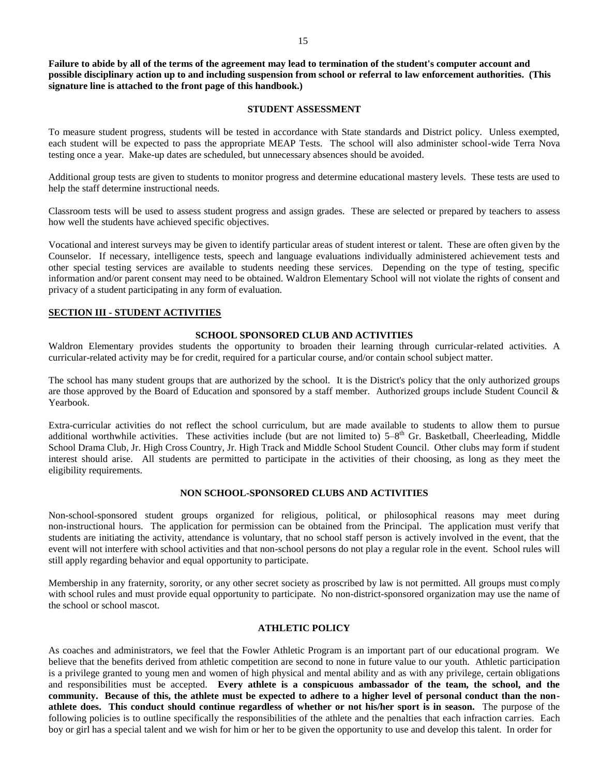**Failure to abide by all of the terms of the agreement may lead to termination of the student's computer account and possible disciplinary action up to and including suspension from school or referral to law enforcement authorities. (This signature line is attached to the front page of this handbook.)**

#### **STUDENT ASSESSMENT**

To measure student progress, students will be tested in accordance with State standards and District policy. Unless exempted, each student will be expected to pass the appropriate MEAP Tests. The school will also administer school-wide Terra Nova testing once a year. Make-up dates are scheduled, but unnecessary absences should be avoided.

Additional group tests are given to students to monitor progress and determine educational mastery levels. These tests are used to help the staff determine instructional needs.

Classroom tests will be used to assess student progress and assign grades. These are selected or prepared by teachers to assess how well the students have achieved specific objectives.

Vocational and interest surveys may be given to identify particular areas of student interest or talent. These are often given by the Counselor. If necessary, intelligence tests, speech and language evaluations individually administered achievement tests and other special testing services are available to students needing these services. Depending on the type of testing, specific information and/or parent consent may need to be obtained. Waldron Elementary School will not violate the rights of consent and privacy of a student participating in any form of evaluation.

## **SECTION III - STUDENT ACTIVITIES**

#### **SCHOOL SPONSORED CLUB AND ACTIVITIES**

Waldron Elementary provides students the opportunity to broaden their learning through curricular-related activities. A curricular-related activity may be for credit, required for a particular course, and/or contain school subject matter.

The school has many student groups that are authorized by the school. It is the District's policy that the only authorized groups are those approved by the Board of Education and sponsored by a staff member. Authorized groups include Student Council  $\&$ Yearbook.

Extra-curricular activities do not reflect the school curriculum, but are made available to students to allow them to pursue additional worthwhile activities. These activities include (but are not limited to)  $5-8^{th}$  Gr. Basketball, Cheerleading, Middle School Drama Club, Jr. High Cross Country, Jr. High Track and Middle School Student Council. Other clubs may form if student interest should arise. All students are permitted to participate in the activities of their choosing, as long as they meet the eligibility requirements.

## **NON SCHOOL-SPONSORED CLUBS AND ACTIVITIES**

Non-school-sponsored student groups organized for religious, political, or philosophical reasons may meet during non-instructional hours. The application for permission can be obtained from the Principal. The application must verify that students are initiating the activity, attendance is voluntary, that no school staff person is actively involved in the event, that the event will not interfere with school activities and that non-school persons do not play a regular role in the event. School rules will still apply regarding behavior and equal opportunity to participate.

Membership in any fraternity, sorority, or any other secret society as proscribed by law is not permitted. All groups must comply with school rules and must provide equal opportunity to participate. No non-district-sponsored organization may use the name of the school or school mascot.

#### **ATHLETIC POLICY**

As coaches and administrators, we feel that the Fowler Athletic Program is an important part of our educational program. We believe that the benefits derived from athletic competition are second to none in future value to our youth. Athletic participation is a privilege granted to young men and women of high physical and mental ability and as with any privilege, certain obligations and responsibilities must be accepted. **Every athlete is a conspicuous ambassador of the team, the school, and the community. Because of this, the athlete must be expected to adhere to a higher level of personal conduct than the nonathlete does. This conduct should continue regardless of whether or not his/her sport is in season.** The purpose of the following policies is to outline specifically the responsibilities of the athlete and the penalties that each infraction carries. Each boy or girl has a special talent and we wish for him or her to be given the opportunity to use and develop this talent. In order for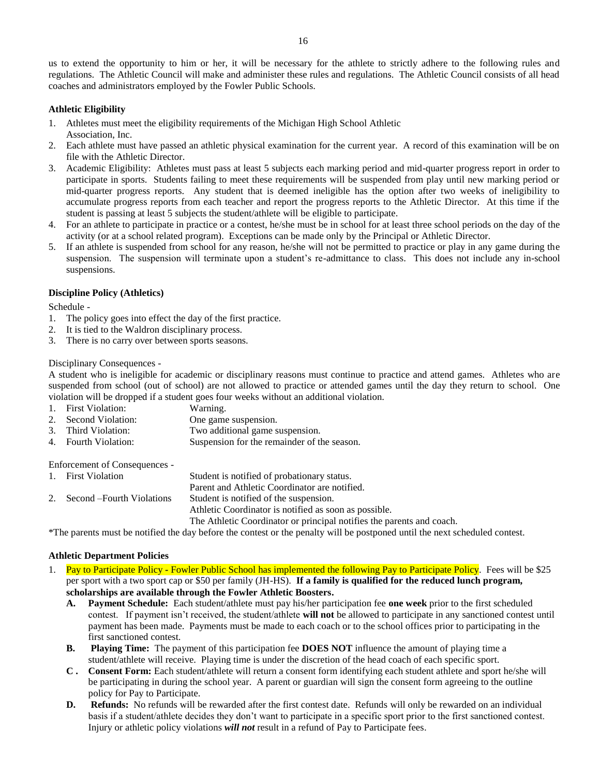us to extend the opportunity to him or her, it will be necessary for the athlete to strictly adhere to the following rules and regulations. The Athletic Council will make and administer these rules and regulations. The Athletic Council consists of all head coaches and administrators employed by the Fowler Public Schools.

#### **Athletic Eligibility**

- 1. Athletes must meet the eligibility requirements of the Michigan High School Athletic Association, Inc.
- 2. Each athlete must have passed an athletic physical examination for the current year. A record of this examination will be on file with the Athletic Director.
- 3. Academic Eligibility: Athletes must pass at least 5 subjects each marking period and mid-quarter progress report in order to participate in sports. Students failing to meet these requirements will be suspended from play until new marking period or mid-quarter progress reports. Any student that is deemed ineligible has the option after two weeks of ineligibility to accumulate progress reports from each teacher and report the progress reports to the Athletic Director. At this time if the student is passing at least 5 subjects the student/athlete will be eligible to participate.
- 4. For an athlete to participate in practice or a contest, he/she must be in school for at least three school periods on the day of the activity (or at a school related program). Exceptions can be made only by the Principal or Athletic Director.
- 5. If an athlete is suspended from school for any reason, he/she will not be permitted to practice or play in any game during the suspension. The suspension will terminate upon a student's re-admittance to class. This does not include any in-school suspensions.

## **Discipline Policy (Athletics)**

Schedule -

- 1. The policy goes into effect the day of the first practice.
- 2. It is tied to the Waldron disciplinary process.
- 3. There is no carry over between sports seasons.

#### Disciplinary Consequences -

A student who is ineligible for academic or disciplinary reasons must continue to practice and attend games. Athletes who are suspended from school (out of school) are not allowed to practice or attended games until the day they return to school. One violation will be dropped if a student goes four weeks without an additional violation.

- 1. First Violation: Warning.
- 2. Second Violation: One game suspension.
- 3. Third Violation: Two additional game suspension.
- 4. Fourth Violation: Suspension for the remainder of the season.

Enforcement of Consequences -

| 1. First Violation            | Student is notified of probationary status.                           |
|-------------------------------|-----------------------------------------------------------------------|
|                               | Parent and Athletic Coordinator are notified.                         |
| 2. Second – Fourth Violations | Student is notified of the suspension.                                |
|                               | Athletic Coordinator is notified as soon as possible.                 |
|                               | The Athletic Coordinator or principal notifies the parents and coach. |
|                               |                                                                       |

\*The parents must be notified the day before the contest or the penalty will be postponed until the next scheduled contest.

#### **Athletic Department Policies**

- 1. Pay to Participate Policy *-* Fowler Public School has implemented the following Pay to Participate Policy. Fees will be \$25 per sport with a two sport cap or \$50 per family (JH-HS). **If a family is qualified for the reduced lunch program, scholarships are available through the Fowler Athletic Boosters.**
	- **A. Payment Schedule:** Each student/athlete must pay his/her participation fee **one week** prior to the first scheduled contest. If payment isn't received, the student/athlete **will not** be allowed to participate in any sanctioned contest until payment has been made. Payments must be made to each coach or to the school offices prior to participating in the first sanctioned contest.
	- **B. Playing Time:** The payment of this participation fee **DOES NOT** influence the amount of playing time a student/athlete will receive. Playing time is under the discretion of the head coach of each specific sport.
	- **C . Consent Form:** Each student/athlete will return a consent form identifying each student athlete and sport he/she will be participating in during the school year. A parent or guardian will sign the consent form agreeing to the outline policy for Pay to Participate.
	- **D. Refunds:**No refunds will be rewarded after the first contest date. Refunds will only be rewarded on an individual basis if a student/athlete decides they don't want to participate in a specific sport prior to the first sanctioned contest. Injury or athletic policy violations *will not* result in a refund of Pay to Participate fees.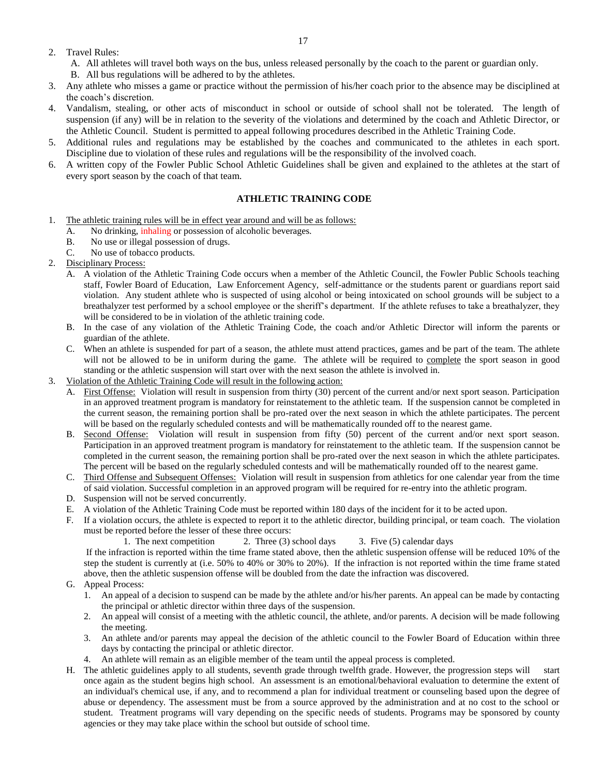## 2. Travel Rules:

- A. All athletes will travel both ways on the bus, unless released personally by the coach to the parent or guardian only.
- B. All bus regulations will be adhered to by the athletes.
- 3. Any athlete who misses a game or practice without the permission of his/her coach prior to the absence may be disciplined at the coach's discretion.
- 4. Vandalism, stealing, or other acts of misconduct in school or outside of school shall not be tolerated. The length of suspension (if any) will be in relation to the severity of the violations and determined by the coach and Athletic Director, or the Athletic Council. Student is permitted to appeal following procedures described in the Athletic Training Code.
- 5. Additional rules and regulations may be established by the coaches and communicated to the athletes in each sport. Discipline due to violation of these rules and regulations will be the responsibility of the involved coach.
- 6. A written copy of the Fowler Public School Athletic Guidelines shall be given and explained to the athletes at the start of every sport season by the coach of that team.

## **ATHLETIC TRAINING CODE**

- 1. The athletic training rules will be in effect year around and will be as follows:
	- A. No drinking, inhaling or possession of alcoholic beverages.
	- B. No use or illegal possession of drugs.
	- C. No use of tobacco products.
- 2. Disciplinary Process:
	- A. A violation of the Athletic Training Code occurs when a member of the Athletic Council, the Fowler Public Schools teaching staff, Fowler Board of Education, Law Enforcement Agency, self-admittance or the students parent or guardians report said violation. Any student athlete who is suspected of using alcohol or being intoxicated on school grounds will be subject to a breathalyzer test performed by a school employee or the sheriff's department. If the athlete refuses to take a breathalyzer, they will be considered to be in violation of the athletic training code.
	- B. In the case of any violation of the Athletic Training Code, the coach and/or Athletic Director will inform the parents or guardian of the athlete.
	- C. When an athlete is suspended for part of a season, the athlete must attend practices, games and be part of the team. The athlete will not be allowed to be in uniform during the game. The athlete will be required to complete the sport season in good standing or the athletic suspension will start over with the next season the athlete is involved in.
- 3. Violation of the Athletic Training Code will result in the following action:
	- A. First Offense: Violation will result in suspension from thirty (30) percent of the current and/or next sport season. Participation in an approved treatment program is mandatory for reinstatement to the athletic team. If the suspension cannot be completed in the current season, the remaining portion shall be pro-rated over the next season in which the athlete participates. The percent will be based on the regularly scheduled contests and will be mathematically rounded off to the nearest game.
	- B. Second Offense: Violation will result in suspension from fifty (50) percent of the current and/or next sport season. Participation in an approved treatment program is mandatory for reinstatement to the athletic team. If the suspension cannot be completed in the current season, the remaining portion shall be pro-rated over the next season in which the athlete participates. The percent will be based on the regularly scheduled contests and will be mathematically rounded off to the nearest game.
	- C. Third Offense and Subsequent Offenses: Violation will result in suspension from athletics for one calendar year from the time of said violation. Successful completion in an approved program will be required for re-entry into the athletic program.
	- D. Suspension will not be served concurrently.
	- E. A violation of the Athletic Training Code must be reported within 180 days of the incident for it to be acted upon.
	- F. If a violation occurs, the athlete is expected to report it to the athletic director, building principal, or team coach. The violation must be reported before the lesser of these three occurs:
		- 1. The next competition 2. Three (3) school days 3. Five (5) calendar days

If the infraction is reported within the time frame stated above, then the athletic suspension offense will be reduced 10% of the step the student is currently at (i.e. 50% to 40% or 30% to 20%). If the infraction is not reported within the time frame stated above, then the athletic suspension offense will be doubled from the date the infraction was discovered.

- G. Appeal Process:
	- 1. An appeal of a decision to suspend can be made by the athlete and/or his/her parents. An appeal can be made by contacting the principal or athletic director within three days of the suspension.
	- 2. An appeal will consist of a meeting with the athletic council, the athlete, and/or parents. A decision will be made following the meeting.
	- 3. An athlete and/or parents may appeal the decision of the athletic council to the Fowler Board of Education within three days by contacting the principal or athletic director.
	- 4. An athlete will remain as an eligible member of the team until the appeal process is completed.
- H. The athletic guidelines apply to all students, seventh grade through twelfth grade. However, the progression steps will start once again as the student begins high school. An assessment is an emotional/behavioral evaluation to determine the extent of an individual's chemical use, if any, and to recommend a plan for individual treatment or counseling based upon the degree of abuse or dependency. The assessment must be from a source approved by the administration and at no cost to the school or student. Treatment programs will vary depending on the specific needs of students. Programs may be sponsored by county agencies or they may take place within the school but outside of school time.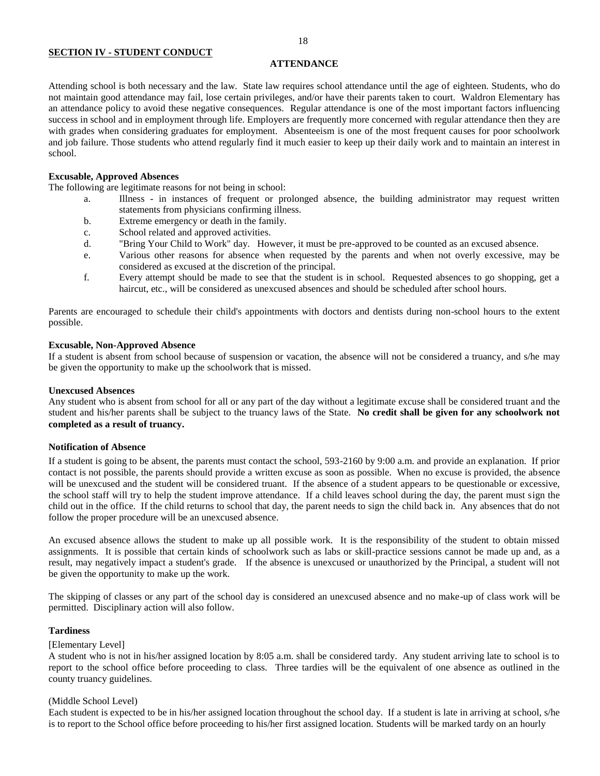#### **SECTION IV - STUDENT CONDUCT**

#### **ATTENDANCE**

Attending school is both necessary and the law. State law requires school attendance until the age of eighteen. Students, who do not maintain good attendance may fail, lose certain privileges, and/or have their parents taken to court. Waldron Elementary has an attendance policy to avoid these negative consequences. Regular attendance is one of the most important factors influencing success in school and in employment through life. Employers are frequently more concerned with regular attendance then they are with grades when considering graduates for employment. Absenteeism is one of the most frequent causes for poor schoolwork and job failure. Those students who attend regularly find it much easier to keep up their daily work and to maintain an interest in school.

#### **Excusable, Approved Absences**

The following are legitimate reasons for not being in school:

- a. Illness in instances of frequent or prolonged absence, the building administrator may request written statements from physicians confirming illness.
- b. Extreme emergency or death in the family.
- c. School related and approved activities.
- d. "Bring Your Child to Work" day. However, it must be pre-approved to be counted as an excused absence.
- e. Various other reasons for absence when requested by the parents and when not overly excessive, may be considered as excused at the discretion of the principal.
- f. Every attempt should be made to see that the student is in school. Requested absences to go shopping, get a haircut, etc., will be considered as unexcused absences and should be scheduled after school hours.

Parents are encouraged to schedule their child's appointments with doctors and dentists during non-school hours to the extent possible.

#### **Excusable, Non-Approved Absence**

If a student is absent from school because of suspension or vacation, the absence will not be considered a truancy, and s/he may be given the opportunity to make up the schoolwork that is missed.

#### **Unexcused Absences**

Any student who is absent from school for all or any part of the day without a legitimate excuse shall be considered truant and the student and his/her parents shall be subject to the truancy laws of the State. **No credit shall be given for any schoolwork not completed as a result of truancy.**

#### **Notification of Absence**

If a student is going to be absent, the parents must contact the school, 593-2160 by 9:00 a.m. and provide an explanation. If prior contact is not possible, the parents should provide a written excuse as soon as possible. When no excuse is provided, the absence will be unexcused and the student will be considered truant. If the absence of a student appears to be questionable or excessive, the school staff will try to help the student improve attendance. If a child leaves school during the day, the parent must sign the child out in the office. If the child returns to school that day, the parent needs to sign the child back in. Any absences that do not follow the proper procedure will be an unexcused absence.

An excused absence allows the student to make up all possible work. It is the responsibility of the student to obtain missed assignments. It is possible that certain kinds of schoolwork such as labs or skill-practice sessions cannot be made up and, as a result, may negatively impact a student's grade. If the absence is unexcused or unauthorized by the Principal, a student will not be given the opportunity to make up the work.

The skipping of classes or any part of the school day is considered an unexcused absence and no make-up of class work will be permitted. Disciplinary action will also follow.

## **Tardiness**

#### [Elementary Level]

A student who is not in his/her assigned location by 8:05 a.m. shall be considered tardy. Any student arriving late to school is to report to the school office before proceeding to class. Three tardies will be the equivalent of one absence as outlined in the county truancy guidelines.

#### (Middle School Level)

Each student is expected to be in his/her assigned location throughout the school day. If a student is late in arriving at school, s/he is to report to the School office before proceeding to his/her first assigned location. Students will be marked tardy on an hourly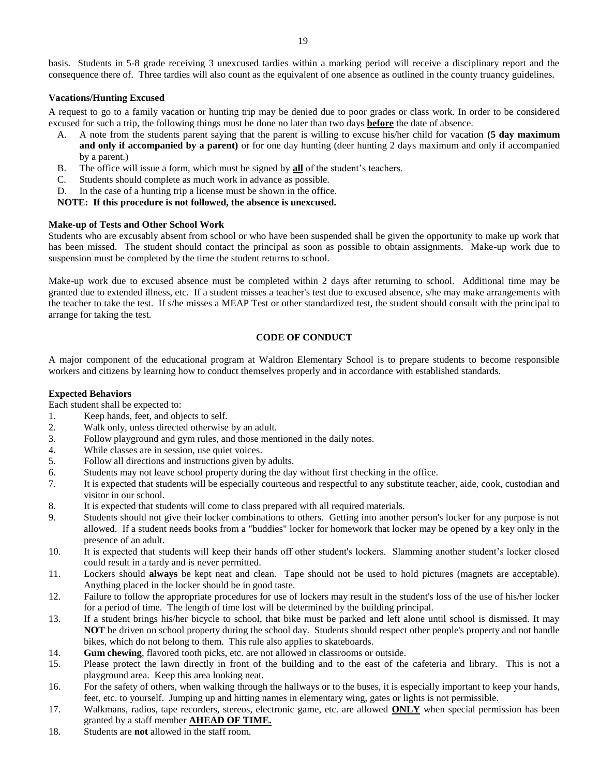basis. Students in 5-8 grade receiving 3 unexcused tardies within a marking period will receive a disciplinary report and the consequence there of. Three tardies will also count as the equivalent of one absence as outlined in the county truancy guidelines.

## **Vacations/Hunting Excused**

A request to go to a family vacation or hunting trip may be denied due to poor grades or class work. In order to be considered excused for such a trip, the following things must be done no later than two days **before** the date of absence.

- A. A note from the students parent saying that the parent is willing to excuse his/her child for vacation **(5 day maximum and only if accompanied by a parent)** or for one day hunting (deer hunting 2 days maximum and only if accompanied by a parent.)
- B. The office will issue a form, which must be signed by **all** of the student's teachers.
- C. Students should complete as much work in advance as possible.<br>D. In the case of a hunting trip a license must be shown in the office
- In the case of a hunting trip a license must be shown in the office.

## **NOTE: If this procedure is not followed, the absence is unexcused.**

## **Make-up of Tests and Other School Work**

Students who are excusably absent from school or who have been suspended shall be given the opportunity to make up work that has been missed. The student should contact the principal as soon as possible to obtain assignments. Make-up work due to suspension must be completed by the time the student returns to school.

Make-up work due to excused absence must be completed within 2 days after returning to school. Additional time may be granted due to extended illness, etc. If a student misses a teacher's test due to excused absence, s/he may make arrangements with the teacher to take the test. If s/he misses a MEAP Test or other standardized test, the student should consult with the principal to arrange for taking the test.

## **CODE OF CONDUCT**

A major component of the educational program at Waldron Elementary School is to prepare students to become responsible workers and citizens by learning how to conduct themselves properly and in accordance with established standards.

## **Expected Behaviors**

Each student shall be expected to:

- 1. Keep hands, feet, and objects to self.
- 2. Walk only, unless directed otherwise by an adult.
- 3. Follow playground and gym rules, and those mentioned in the daily notes.
- 4. While classes are in session, use quiet voices.
- 5. Follow all directions and instructions given by adults.
- 6. Students may not leave school property during the day without first checking in the office.
- 7. It is expected that students will be especially courteous and respectful to any substitute teacher, aide, cook, custodian and visitor in our school.
- 8. It is expected that students will come to class prepared with all required materials.
- 9. Students should not give their locker combinations to others. Getting into another person's locker for any purpose is not allowed. If a student needs books from a "buddies" locker for homework that locker may be opened by a key only in the presence of an adult.
- 10. It is expected that students will keep their hands off other student's lockers. Slamming another student's locker closed could result in a tardy and is never permitted.
- 11. Lockers should **always** be kept neat and clean. Tape should not be used to hold pictures (magnets are acceptable). Anything placed in the locker should be in good taste.
- 12. Failure to follow the appropriate procedures for use of lockers may result in the student's loss of the use of his/her locker for a period of time. The length of time lost will be determined by the building principal.
- 13. If a student brings his/her bicycle to school, that bike must be parked and left alone until school is dismissed. It may **NOT** be driven on school property during the school day. Students should respect other people's property and not handle bikes, which do not belong to them. This rule also applies to skateboards.
- 14. **Gum chewing**, flavored tooth picks, etc. are not allowed in classrooms or outside.
- 15. Please protect the lawn directly in front of the building and to the east of the cafeteria and library. This is not a playground area. Keep this area looking neat.
- 16. For the safety of others, when walking through the hallways or to the buses, it is especially important to keep your hands, feet, etc. to yourself. Jumping up and hitting names in elementary wing, gates or lights is not permissible.
- 17. Walkmans, radios, tape recorders, stereos, electronic game, etc. are allowed **ONLY** when special permission has been granted by a staff member **AHEAD OF TIME.**
- 18. Students are **not** allowed in the staff room.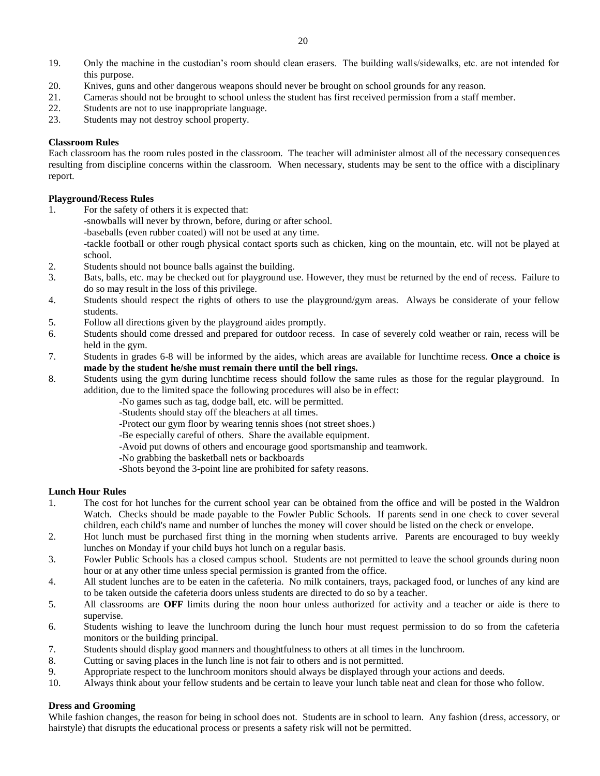- 19. Only the machine in the custodian's room should clean erasers. The building walls/sidewalks, etc. are not intended for this purpose.
- 20. Knives, guns and other dangerous weapons should never be brought on school grounds for any reason.
- 21. Cameras should not be brought to school unless the student has first received permission from a staff member.
- 22. Students are not to use inappropriate language.
- 23. Students may not destroy school property.

## **Classroom Rules**

Each classroom has the room rules posted in the classroom. The teacher will administer almost all of the necessary consequences resulting from discipline concerns within the classroom. When necessary, students may be sent to the office with a disciplinary report.

## **Playground/Recess Rules**

1. For the safety of others it is expected that:

-snowballs will never by thrown, before, during or after school.

-baseballs (even rubber coated) will not be used at any time.

-tackle football or other rough physical contact sports such as chicken, king on the mountain, etc. will not be played at school.

- 2. Students should not bounce balls against the building.
- 3. Bats, balls, etc. may be checked out for playground use. However, they must be returned by the end of recess. Failure to do so may result in the loss of this privilege.
- 4. Students should respect the rights of others to use the playground/gym areas. Always be considerate of your fellow students.
- 5. Follow all directions given by the playground aides promptly.
- 6. Students should come dressed and prepared for outdoor recess. In case of severely cold weather or rain, recess will be held in the gym.
- 7. Students in grades 6-8 will be informed by the aides, which areas are available for lunchtime recess. **Once a choice is made by the student he/she must remain there until the bell rings.**
- 8. Students using the gym during lunchtime recess should follow the same rules as those for the regular playground. In addition, due to the limited space the following procedures will also be in effect:
	- -No games such as tag, dodge ball, etc. will be permitted.
		- -Students should stay off the bleachers at all times.
	- -Protect our gym floor by wearing tennis shoes (not street shoes.)
	- -Be especially careful of others. Share the available equipment.
	- -Avoid put downs of others and encourage good sportsmanship and teamwork.
	- -No grabbing the basketball nets or backboards
	- -Shots beyond the 3-point line are prohibited for safety reasons.

## **Lunch Hour Rules**

- 1. The cost for hot lunches for the current school year can be obtained from the office and will be posted in the Waldron Watch. Checks should be made payable to the Fowler Public Schools. If parents send in one check to cover several children, each child's name and number of lunches the money will cover should be listed on the check or envelope.
- 2. Hot lunch must be purchased first thing in the morning when students arrive. Parents are encouraged to buy weekly lunches on Monday if your child buys hot lunch on a regular basis.
- 3. Fowler Public Schools has a closed campus school. Students are not permitted to leave the school grounds during noon hour or at any other time unless special permission is granted from the office.
- 4. All student lunches are to be eaten in the cafeteria. No milk containers, trays, packaged food, or lunches of any kind are to be taken outside the cafeteria doors unless students are directed to do so by a teacher.
- 5. All classrooms are **OFF** limits during the noon hour unless authorized for activity and a teacher or aide is there to supervise.
- 6. Students wishing to leave the lunchroom during the lunch hour must request permission to do so from the cafeteria monitors or the building principal.
- 7. Students should display good manners and thoughtfulness to others at all times in the lunchroom.
- 8. Cutting or saving places in the lunch line is not fair to others and is not permitted.
- 9. Appropriate respect to the lunchroom monitors should always be displayed through your actions and deeds.
- 10. Always think about your fellow students and be certain to leave your lunch table neat and clean for those who follow.

## **Dress and Grooming**

While fashion changes, the reason for being in school does not. Students are in school to learn. Any fashion (dress, accessory, or hairstyle) that disrupts the educational process or presents a safety risk will not be permitted.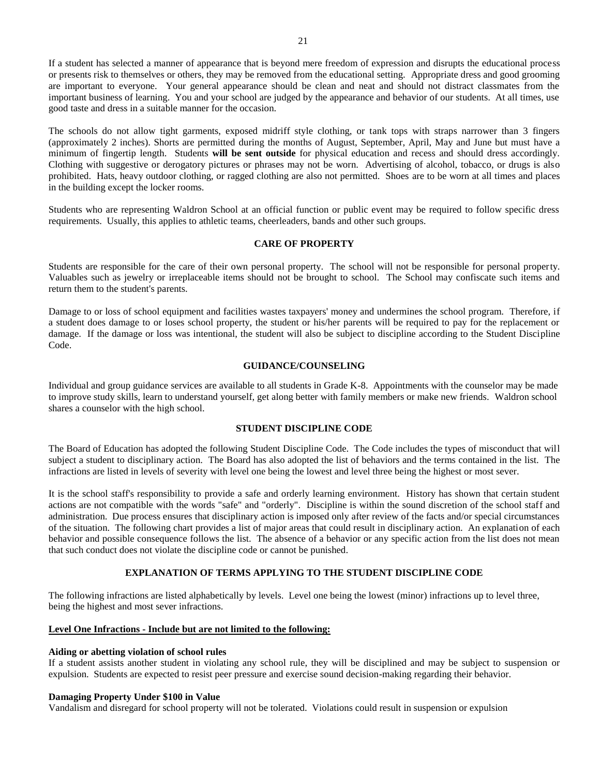If a student has selected a manner of appearance that is beyond mere freedom of expression and disrupts the educational process or presents risk to themselves or others, they may be removed from the educational setting. Appropriate dress and good grooming are important to everyone. Your general appearance should be clean and neat and should not distract classmates from the important business of learning. You and your school are judged by the appearance and behavior of our students. At all times, use good taste and dress in a suitable manner for the occasion.

The schools do not allow tight garments, exposed midriff style clothing, or tank tops with straps narrower than 3 fingers (approximately 2 inches). Shorts are permitted during the months of August, September, April, May and June but must have a minimum of fingertip length. Students **will be sent outside** for physical education and recess and should dress accordingly. Clothing with suggestive or derogatory pictures or phrases may not be worn. Advertising of alcohol, tobacco, or drugs is also prohibited. Hats, heavy outdoor clothing, or ragged clothing are also not permitted. Shoes are to be worn at all times and places in the building except the locker rooms.

Students who are representing Waldron School at an official function or public event may be required to follow specific dress requirements. Usually, this applies to athletic teams, cheerleaders, bands and other such groups.

## **CARE OF PROPERTY**

Students are responsible for the care of their own personal property. The school will not be responsible for personal property. Valuables such as jewelry or irreplaceable items should not be brought to school. The School may confiscate such items and return them to the student's parents.

Damage to or loss of school equipment and facilities wastes taxpayers' money and undermines the school program. Therefore, if a student does damage to or loses school property, the student or his/her parents will be required to pay for the replacement or damage. If the damage or loss was intentional, the student will also be subject to discipline according to the Student Discipline Code.

#### **GUIDANCE/COUNSELING**

Individual and group guidance services are available to all students in Grade K-8. Appointments with the counselor may be made to improve study skills, learn to understand yourself, get along better with family members or make new friends. Waldron school shares a counselor with the high school.

## **STUDENT DISCIPLINE CODE**

The Board of Education has adopted the following Student Discipline Code. The Code includes the types of misconduct that will subject a student to disciplinary action. The Board has also adopted the list of behaviors and the terms contained in the list. The infractions are listed in levels of severity with level one being the lowest and level three being the highest or most sever.

It is the school staff's responsibility to provide a safe and orderly learning environment. History has shown that certain student actions are not compatible with the words "safe" and "orderly". Discipline is within the sound discretion of the school staff and administration. Due process ensures that disciplinary action is imposed only after review of the facts and/or special circumstances of the situation. The following chart provides a list of major areas that could result in disciplinary action. An explanation of each behavior and possible consequence follows the list. The absence of a behavior or any specific action from the list does not mean that such conduct does not violate the discipline code or cannot be punished.

## **EXPLANATION OF TERMS APPLYING TO THE STUDENT DISCIPLINE CODE**

The following infractions are listed alphabetically by levels. Level one being the lowest (minor) infractions up to level three, being the highest and most sever infractions.

## **Level One Infractions - Include but are not limited to the following:**

#### **Aiding or abetting violation of school rules**

If a student assists another student in violating any school rule, they will be disciplined and may be subject to suspension or expulsion. Students are expected to resist peer pressure and exercise sound decision-making regarding their behavior.

## **Damaging Property Under \$100 in Value**

Vandalism and disregard for school property will not be tolerated. Violations could result in suspension or expulsion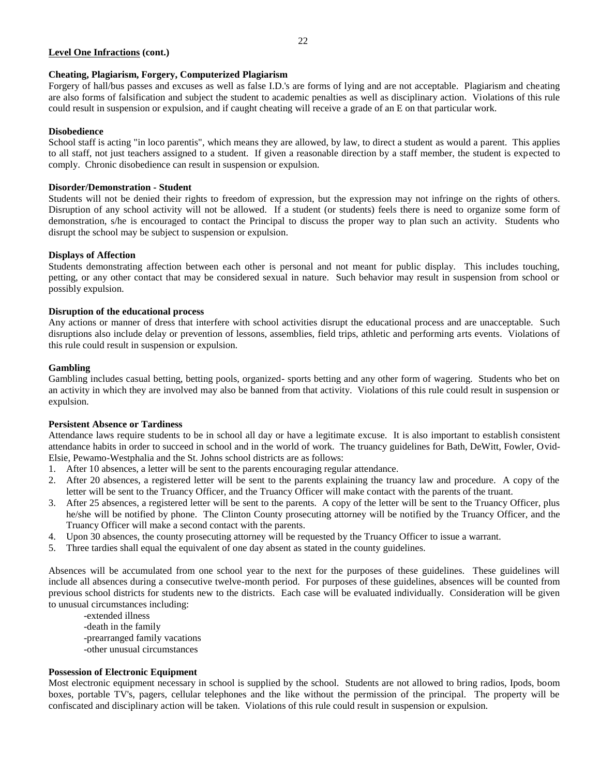## **Level One Infractions (cont.)**

## **Cheating, Plagiarism, Forgery, Computerized Plagiarism**

Forgery of hall/bus passes and excuses as well as false I.D.'s are forms of lying and are not acceptable. Plagiarism and cheating are also forms of falsification and subject the student to academic penalties as well as disciplinary action. Violations of this rule could result in suspension or expulsion, and if caught cheating will receive a grade of an E on that particular work.

## **Disobedience**

School staff is acting "in loco parentis", which means they are allowed, by law, to direct a student as would a parent. This applies to all staff, not just teachers assigned to a student. If given a reasonable direction by a staff member, the student is expected to comply. Chronic disobedience can result in suspension or expulsion.

## **Disorder/Demonstration - Student**

Students will not be denied their rights to freedom of expression, but the expression may not infringe on the rights of others. Disruption of any school activity will not be allowed. If a student (or students) feels there is need to organize some form of demonstration, s/he is encouraged to contact the Principal to discuss the proper way to plan such an activity. Students who disrupt the school may be subject to suspension or expulsion.

## **Displays of Affection**

Students demonstrating affection between each other is personal and not meant for public display. This includes touching, petting, or any other contact that may be considered sexual in nature. Such behavior may result in suspension from school or possibly expulsion.

## **Disruption of the educational process**

Any actions or manner of dress that interfere with school activities disrupt the educational process and are unacceptable. Such disruptions also include delay or prevention of lessons, assemblies, field trips, athletic and performing arts events. Violations of this rule could result in suspension or expulsion.

## **Gambling**

Gambling includes casual betting, betting pools, organized- sports betting and any other form of wagering. Students who bet on an activity in which they are involved may also be banned from that activity. Violations of this rule could result in suspension or expulsion.

## **Persistent Absence or Tardiness**

Attendance laws require students to be in school all day or have a legitimate excuse. It is also important to establish consistent attendance habits in order to succeed in school and in the world of work. The truancy guidelines for Bath, DeWitt, Fowler, Ovid-Elsie, Pewamo-Westphalia and the St. Johns school districts are as follows:

- 1. After 10 absences, a letter will be sent to the parents encouraging regular attendance.
- 2. After 20 absences, a registered letter will be sent to the parents explaining the truancy law and procedure. A copy of the letter will be sent to the Truancy Officer, and the Truancy Officer will make contact with the parents of the truant.
- 3. After 25 absences, a registered letter will be sent to the parents. A copy of the letter will be sent to the Truancy Officer, plus he/she will be notified by phone. The Clinton County prosecuting attorney will be notified by the Truancy Officer, and the Truancy Officer will make a second contact with the parents.
- 4. Upon 30 absences, the county prosecuting attorney will be requested by the Truancy Officer to issue a warrant.
- 5. Three tardies shall equal the equivalent of one day absent as stated in the county guidelines.

Absences will be accumulated from one school year to the next for the purposes of these guidelines. These guidelines will include all absences during a consecutive twelve-month period. For purposes of these guidelines, absences will be counted from previous school districts for students new to the districts. Each case will be evaluated individually. Consideration will be given to unusual circumstances including:

-extended illness -death in the family -prearranged family vacations -other unusual circumstances

## **Possession of Electronic Equipment**

Most electronic equipment necessary in school is supplied by the school. Students are not allowed to bring radios, Ipods, boom boxes, portable TV's, pagers, cellular telephones and the like without the permission of the principal. The property will be confiscated and disciplinary action will be taken. Violations of this rule could result in suspension or expulsion.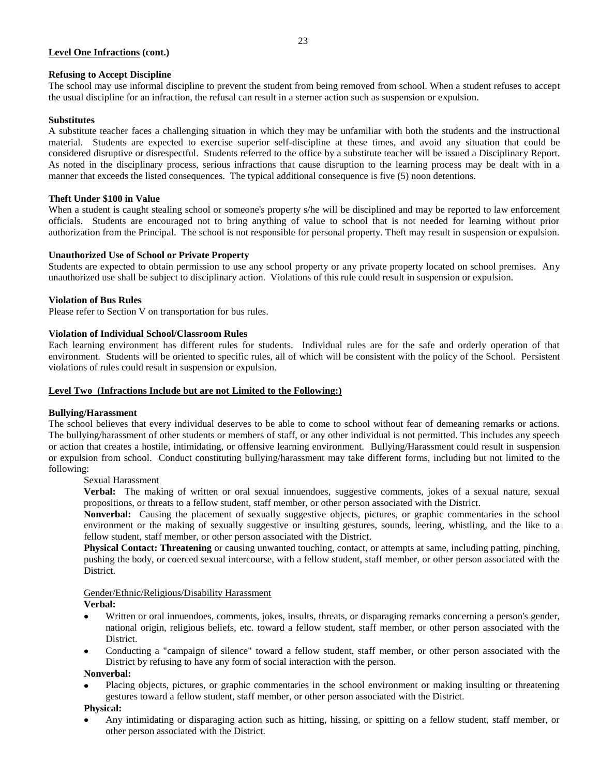## **Level One Infractions (cont.)**

## **Refusing to Accept Discipline**

The school may use informal discipline to prevent the student from being removed from school. When a student refuses to accept the usual discipline for an infraction, the refusal can result in a sterner action such as suspension or expulsion.

## **Substitutes**

A substitute teacher faces a challenging situation in which they may be unfamiliar with both the students and the instructional material. Students are expected to exercise superior self-discipline at these times, and avoid any situation that could be considered disruptive or disrespectful. Students referred to the office by a substitute teacher will be issued a Disciplinary Report. As noted in the disciplinary process, serious infractions that cause disruption to the learning process may be dealt with in a manner that exceeds the listed consequences. The typical additional consequence is five (5) noon detentions.

## **Theft Under \$100 in Value**

When a student is caught stealing school or someone's property s/he will be disciplined and may be reported to law enforcement officials. Students are encouraged not to bring anything of value to school that is not needed for learning without prior authorization from the Principal. The school is not responsible for personal property. Theft may result in suspension or expulsion.

## **Unauthorized Use of School or Private Property**

Students are expected to obtain permission to use any school property or any private property located on school premises. Any unauthorized use shall be subject to disciplinary action. Violations of this rule could result in suspension or expulsion.

## **Violation of Bus Rules**

Please refer to Section V on transportation for bus rules.

## **Violation of Individual School/Classroom Rules**

Each learning environment has different rules for students. Individual rules are for the safe and orderly operation of that environment. Students will be oriented to specific rules, all of which will be consistent with the policy of the School. Persistent violations of rules could result in suspension or expulsion.

## **Level Two (Infractions Include but are not Limited to the Following:)**

## **Bullying/Harassment**

The school believes that every individual deserves to be able to come to school without fear of demeaning remarks or actions. The bullying/harassment of other students or members of staff, or any other individual is not permitted. This includes any speech or action that creates a hostile, intimidating, or offensive learning environment. Bullying/Harassment could result in suspension or expulsion from school. Conduct constituting bullying/harassment may take different forms, including but not limited to the following:

## Sexual Harassment

**Verbal:** The making of written or oral sexual innuendoes, suggestive comments, jokes of a sexual nature, sexual propositions, or threats to a fellow student, staff member, or other person associated with the District.

**Nonverbal:** Causing the placement of sexually suggestive objects, pictures, or graphic commentaries in the school environment or the making of sexually suggestive or insulting gestures, sounds, leering, whistling, and the like to a fellow student, staff member, or other person associated with the District.

**Physical Contact: Threatening** or causing unwanted touching, contact, or attempts at same, including patting, pinching, pushing the body, or coerced sexual intercourse, with a fellow student, staff member, or other person associated with the District.

## Gender/Ethnic/Religious/Disability Harassment

**Verbal:**

- Written or oral innuendoes, comments, jokes, insults, threats, or disparaging remarks concerning a person's gender, national origin, religious beliefs, etc. toward a fellow student, staff member, or other person associated with the District.
- Conducting a "campaign of silence" toward a fellow student, staff member, or other person associated with the District by refusing to have any form of social interaction with the person.

## **Nonverbal:**

Placing objects, pictures, or graphic commentaries in the school environment or making insulting or threatening gestures toward a fellow student, staff member, or other person associated with the District.

## **Physical:**

Any intimidating or disparaging action such as hitting, hissing, or spitting on a fellow student, staff member, or other person associated with the District.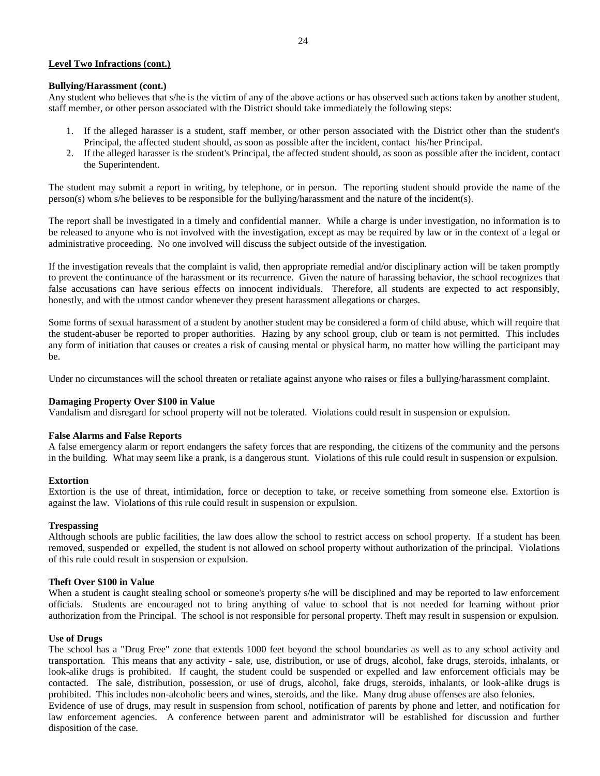#### **Level Two Infractions (cont.)**

## **Bullying/Harassment (cont.)**

Any student who believes that s/he is the victim of any of the above actions or has observed such actions taken by another student, staff member, or other person associated with the District should take immediately the following steps:

- 1. If the alleged harasser is a student, staff member, or other person associated with the District other than the student's Principal, the affected student should, as soon as possible after the incident, contact his/her Principal.
- 2. If the alleged harasser is the student's Principal, the affected student should, as soon as possible after the incident, contact the Superintendent.

The student may submit a report in writing, by telephone, or in person. The reporting student should provide the name of the person(s) whom s/he believes to be responsible for the bullying/harassment and the nature of the incident(s).

The report shall be investigated in a timely and confidential manner. While a charge is under investigation, no information is to be released to anyone who is not involved with the investigation, except as may be required by law or in the context of a legal or administrative proceeding. No one involved will discuss the subject outside of the investigation.

If the investigation reveals that the complaint is valid, then appropriate remedial and/or disciplinary action will be taken promptly to prevent the continuance of the harassment or its recurrence. Given the nature of harassing behavior, the school recognizes that false accusations can have serious effects on innocent individuals. Therefore, all students are expected to act responsibly, honestly, and with the utmost candor whenever they present harassment allegations or charges.

Some forms of sexual harassment of a student by another student may be considered a form of child abuse, which will require that the student-abuser be reported to proper authorities. Hazing by any school group, club or team is not permitted. This includes any form of initiation that causes or creates a risk of causing mental or physical harm, no matter how willing the participant may be.

Under no circumstances will the school threaten or retaliate against anyone who raises or files a bullying/harassment complaint.

## **Damaging Property Over \$100 in Value**

Vandalism and disregard for school property will not be tolerated. Violations could result in suspension or expulsion.

## **False Alarms and False Reports**

A false emergency alarm or report endangers the safety forces that are responding, the citizens of the community and the persons in the building. What may seem like a prank, is a dangerous stunt. Violations of this rule could result in suspension or expulsion.

#### **Extortion**

Extortion is the use of threat, intimidation, force or deception to take, or receive something from someone else. Extortion is against the law. Violations of this rule could result in suspension or expulsion.

#### **Trespassing**

Although schools are public facilities, the law does allow the school to restrict access on school property. If a student has been removed, suspended or expelled, the student is not allowed on school property without authorization of the principal. Violations of this rule could result in suspension or expulsion.

#### **Theft Over \$100 in Value**

When a student is caught stealing school or someone's property s/he will be disciplined and may be reported to law enforcement officials. Students are encouraged not to bring anything of value to school that is not needed for learning without prior authorization from the Principal. The school is not responsible for personal property. Theft may result in suspension or expulsion.

#### **Use of Drugs**

The school has a "Drug Free" zone that extends 1000 feet beyond the school boundaries as well as to any school activity and transportation. This means that any activity - sale, use, distribution, or use of drugs, alcohol, fake drugs, steroids, inhalants, or look-alike drugs is prohibited. If caught, the student could be suspended or expelled and law enforcement officials may be contacted. The sale, distribution, possession, or use of drugs, alcohol, fake drugs, steroids, inhalants, or look-alike drugs is prohibited. This includes non-alcoholic beers and wines, steroids, and the like. Many drug abuse offenses are also felonies.

Evidence of use of drugs, may result in suspension from school, notification of parents by phone and letter, and notification for law enforcement agencies. A conference between parent and administrator will be established for discussion and further disposition of the case.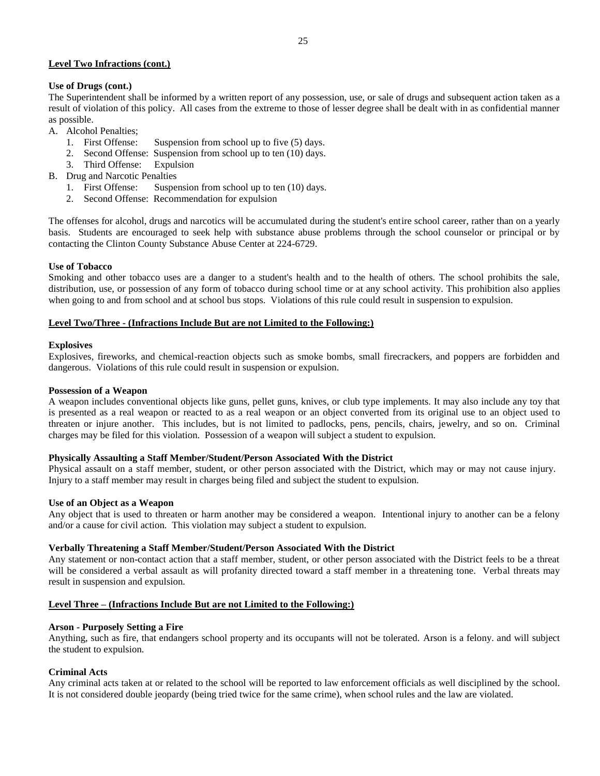## **Level Two Infractions (cont.)**

## **Use of Drugs (cont.)**

The Superintendent shall be informed by a written report of any possession, use, or sale of drugs and subsequent action taken as a result of violation of this policy. All cases from the extreme to those of lesser degree shall be dealt with in as confidential manner as possible.

- A. Alcohol Penalties;
	- 1. First Offense: Suspension from school up to five (5) days.
	- 2. Second Offense: Suspension from school up to ten (10) days.
	- 3. Third Offense: Expulsion
- B. Drug and Narcotic Penalties
	- 1. First Offense: Suspension from school up to ten (10) days.
	- 2. Second Offense: Recommendation for expulsion

The offenses for alcohol, drugs and narcotics will be accumulated during the student's entire school career, rather than on a yearly basis. Students are encouraged to seek help with substance abuse problems through the school counselor or principal or by contacting the Clinton County Substance Abuse Center at 224-6729.

## **Use of Tobacco**

Smoking and other tobacco uses are a danger to a student's health and to the health of others. The school prohibits the sale, distribution, use, or possession of any form of tobacco during school time or at any school activity. This prohibition also applies when going to and from school and at school bus stops. Violations of this rule could result in suspension to expulsion.

## **Level Two/Three - (Infractions Include But are not Limited to the Following:)**

## **Explosives**

Explosives, fireworks, and chemical-reaction objects such as smoke bombs, small firecrackers, and poppers are forbidden and dangerous. Violations of this rule could result in suspension or expulsion.

## **Possession of a Weapon**

A weapon includes conventional objects like guns, pellet guns, knives, or club type implements. It may also include any toy that is presented as a real weapon or reacted to as a real weapon or an object converted from its original use to an object used to threaten or injure another. This includes, but is not limited to padlocks, pens, pencils, chairs, jewelry, and so on. Criminal charges may be filed for this violation. Possession of a weapon will subject a student to expulsion.

## **Physically Assaulting a Staff Member/Student/Person Associated With the District**

Physical assault on a staff member, student, or other person associated with the District, which may or may not cause injury. Injury to a staff member may result in charges being filed and subject the student to expulsion.

## **Use of an Object as a Weapon**

Any object that is used to threaten or harm another may be considered a weapon. Intentional injury to another can be a felony and/or a cause for civil action. This violation may subject a student to expulsion.

## **Verbally Threatening a Staff Member/Student/Person Associated With the District**

Any statement or non-contact action that a staff member, student, or other person associated with the District feels to be a threat will be considered a verbal assault as will profanity directed toward a staff member in a threatening tone. Verbal threats may result in suspension and expulsion.

## **Level Three – (Infractions Include But are not Limited to the Following:)**

## **Arson - Purposely Setting a Fire**

Anything, such as fire, that endangers school property and its occupants will not be tolerated. Arson is a felony. and will subject the student to expulsion.

## **Criminal Acts**

Any criminal acts taken at or related to the school will be reported to law enforcement officials as well disciplined by the school. It is not considered double jeopardy (being tried twice for the same crime), when school rules and the law are violated.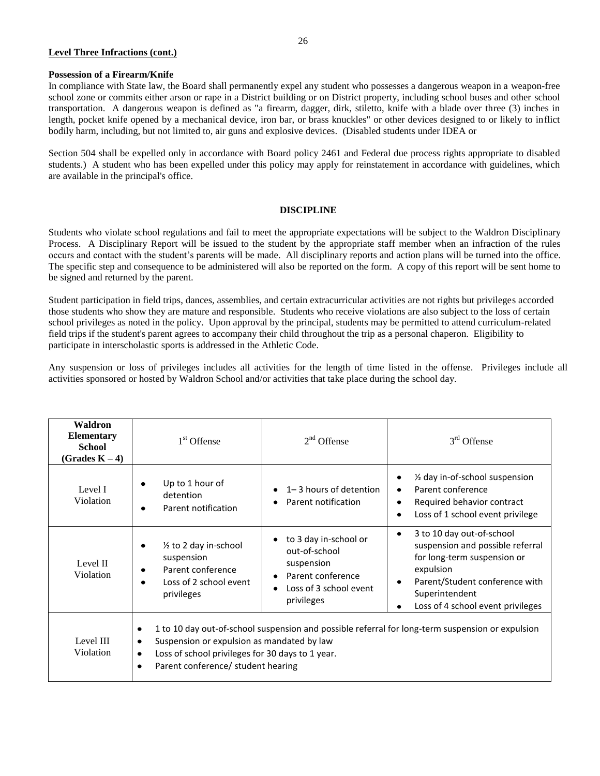## **Level Three Infractions (cont.)**

## **Possession of a Firearm/Knife**

In compliance with State law, the Board shall permanently expel any student who possesses a dangerous weapon in a weapon-free school zone or commits either arson or rape in a District building or on District property, including school buses and other school transportation. A dangerous weapon is defined as "a firearm, dagger, dirk, stiletto, knife with a blade over three (3) inches in length, pocket knife opened by a mechanical device, iron bar, or brass knuckles" or other devices designed to or likely to inflict bodily harm, including, but not limited to, air guns and explosive devices. (Disabled students under IDEA or

Section 504 shall be expelled only in accordance with Board policy 2461 and Federal due process rights appropriate to disabled students.) A student who has been expelled under this policy may apply for reinstatement in accordance with guidelines, which are available in the principal's office.

## **DISCIPLINE**

Students who violate school regulations and fail to meet the appropriate expectations will be subject to the Waldron Disciplinary Process. A Disciplinary Report will be issued to the student by the appropriate staff member when an infraction of the rules occurs and contact with the student's parents will be made. All disciplinary reports and action plans will be turned into the office. The specific step and consequence to be administered will also be reported on the form. A copy of this report will be sent home to be signed and returned by the parent.

Student participation in field trips, dances, assemblies, and certain extracurricular activities are not rights but privileges accorded those students who show they are mature and responsible. Students who receive violations are also subject to the loss of certain school privileges as noted in the policy. Upon approval by the principal, students may be permitted to attend curriculum-related field trips if the student's parent agrees to accompany their child throughout the trip as a personal chaperon. Eligibility to participate in interscholastic sports is addressed in the Athletic Code.

Any suspension or loss of privileges includes all activities for the length of time listed in the offense. Privileges include all activities sponsored or hosted by Waldron School and/or activities that take place during the school day.

| Waldron<br><b>Elementary</b><br><b>School</b><br>$(Grades K - 4)$ | 1 <sup>st</sup> Offense                                                                                                                                                                                                                                                      | $2nd$ Offense                                                                                                     | 3 <sup>rd</sup> Offense                                                                                                                                                                                                   |
|-------------------------------------------------------------------|------------------------------------------------------------------------------------------------------------------------------------------------------------------------------------------------------------------------------------------------------------------------------|-------------------------------------------------------------------------------------------------------------------|---------------------------------------------------------------------------------------------------------------------------------------------------------------------------------------------------------------------------|
| Level I<br>Violation                                              | Up to 1 hour of<br>detention<br>Parent notification                                                                                                                                                                                                                          | $1 - 3$ hours of detention<br>Parent notification                                                                 | 1/2 day in-of-school suspension<br>Parent conference<br>$\bullet$<br>Required behavior contract<br>٠<br>Loss of 1 school event privilege<br>$\bullet$                                                                     |
| Level II<br>Violation                                             | 1/2 to 2 day in-school<br>suspension<br>Parent conference<br>Loss of 2 school event<br>privileges                                                                                                                                                                            | to 3 day in-school or<br>out-of-school<br>suspension<br>Parent conference<br>Loss of 3 school event<br>privileges | 3 to 10 day out-of-school<br>$\bullet$<br>suspension and possible referral<br>for long-term suspension or<br>expulsion<br>Parent/Student conference with<br>٠<br>Superintendent<br>Loss of 4 school event privileges<br>٠ |
| Level III<br>Violation                                            | 1 to 10 day out-of-school suspension and possible referral for long-term suspension or expulsion<br>٠<br>Suspension or expulsion as mandated by law<br>٠<br>Loss of school privileges for 30 days to 1 year.<br>$\bullet$<br>Parent conference/ student hearing<br>$\bullet$ |                                                                                                                   |                                                                                                                                                                                                                           |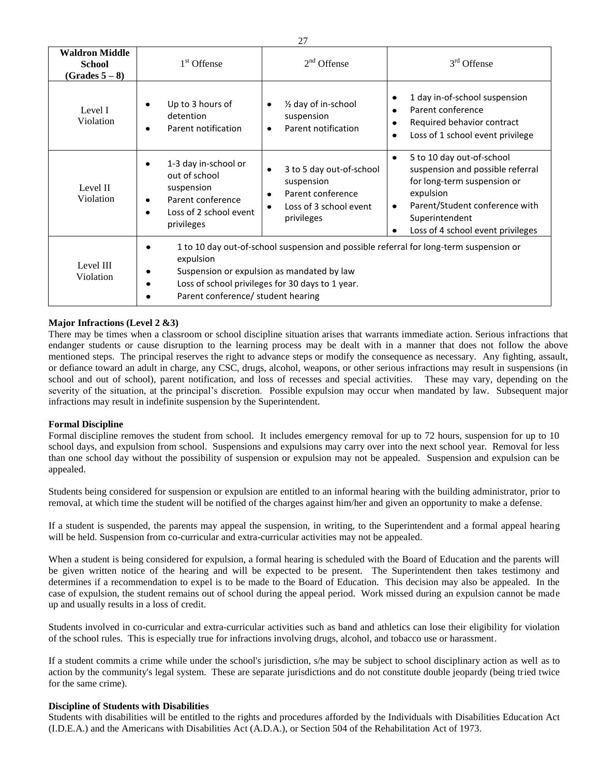| <b>Waldron Middle</b><br><b>School</b><br>$(Grades 5-8)$ | 1 <sup>st</sup> Offense                                                                                                                                                                                                                     | $2nd$ Offense                                                                                                 | 3 <sup>rd</sup> Offense                                                                                                                                                                                                                   |
|----------------------------------------------------------|---------------------------------------------------------------------------------------------------------------------------------------------------------------------------------------------------------------------------------------------|---------------------------------------------------------------------------------------------------------------|-------------------------------------------------------------------------------------------------------------------------------------------------------------------------------------------------------------------------------------------|
| Level I<br>Violation                                     | Up to 3 hours of<br>detention<br>Parent notification                                                                                                                                                                                        | 1/2 day of in-school<br>$\bullet$<br>suspension<br>Parent notification<br>$\bullet$                           | 1 day in-of-school suspension<br>$\bullet$<br>Parent conference<br>$\bullet$<br>Required behavior contract<br>$\bullet$<br>Loss of 1 school event privilege<br>$\bullet$                                                                  |
| Level II<br>Violation                                    | 1-3 day in-school or<br>out of school<br>suspension<br>Parent conference<br>Loss of 2 school event<br>privileges                                                                                                                            | 3 to 5 day out-of-school<br>٠<br>suspension<br>Parent conference<br>٠<br>Loss of 3 school event<br>privileges | 5 to 10 day out-of-school<br>$\bullet$<br>suspension and possible referral<br>for long-term suspension or<br>expulsion<br>Parent/Student conference with<br>$\bullet$<br>Superintendent<br>Loss of 4 school event privileges<br>$\bullet$ |
| Level III<br>Violation                                   | 1 to 10 day out-of-school suspension and possible referral for long-term suspension or<br>expulsion<br>Suspension or expulsion as mandated by law<br>Loss of school privileges for 30 days to 1 year.<br>Parent conference/ student hearing |                                                                                                               |                                                                                                                                                                                                                                           |

## **Major Infractions (Level 2 &3)**

There may be times when a classroom or school discipline situation arises that warrants immediate action. Serious infractions that endanger students or cause disruption to the learning process may be dealt with in a manner that does not follow the above mentioned steps. The principal reserves the right to advance steps or modify the consequence as necessary. Any fighting, assault, or defiance toward an adult in charge, any CSC, drugs, alcohol, weapons, or other serious infractions may result in suspensions (in school and out of school), parent notification, and loss of recesses and special activities. These may vary, depending on the severity of the situation, at the principal's discretion. Possible expulsion may occur when mandated by law. Subsequent major infractions may result in indefinite suspension by the Superintendent.

## **Formal Discipline**

Formal discipline removes the student from school. It includes emergency removal for up to 72 hours, suspension for up to 10 school days, and expulsion from school. Suspensions and expulsions may carry over into the next school year. Removal for less than one school day without the possibility of suspension or expulsion may not be appealed. Suspension and expulsion can be appealed.

Students being considered for suspension or expulsion are entitled to an informal hearing with the building administrator, prior to removal, at which time the student will be notified of the charges against him/her and given an opportunity to make a defense.

If a student is suspended, the parents may appeal the suspension, in writing, to the Superintendent and a formal appeal hearing will be held. Suspension from co-curricular and extra-curricular activities may not be appealed.

When a student is being considered for expulsion, a formal hearing is scheduled with the Board of Education and the parents will be given written notice of the hearing and will be expected to be present. The Superintendent then takes testimony and determines if a recommendation to expel is to be made to the Board of Education. This decision may also be appealed. In the case of expulsion, the student remains out of school during the appeal period. Work missed during an expulsion cannot be made up and usually results in a loss of credit.

Students involved in co-curricular and extra-curricular activities such as band and athletics can lose their eligibility for violation of the school rules. This is especially true for infractions involving drugs, alcohol, and tobacco use or harassment.

If a student commits a crime while under the school's jurisdiction, s/he may be subject to school disciplinary action as well as to action by the community's legal system. These are separate jurisdictions and do not constitute double jeopardy (being tried twice for the same crime).

## **Discipline of Students with Disabilities**

Students with disabilities will be entitled to the rights and procedures afforded by the Individuals with Disabilities Education Act (I.D.E.A.) and the Americans with Disabilities Act (A.D.A.), or Section 504 of the Rehabilitation Act of 1973.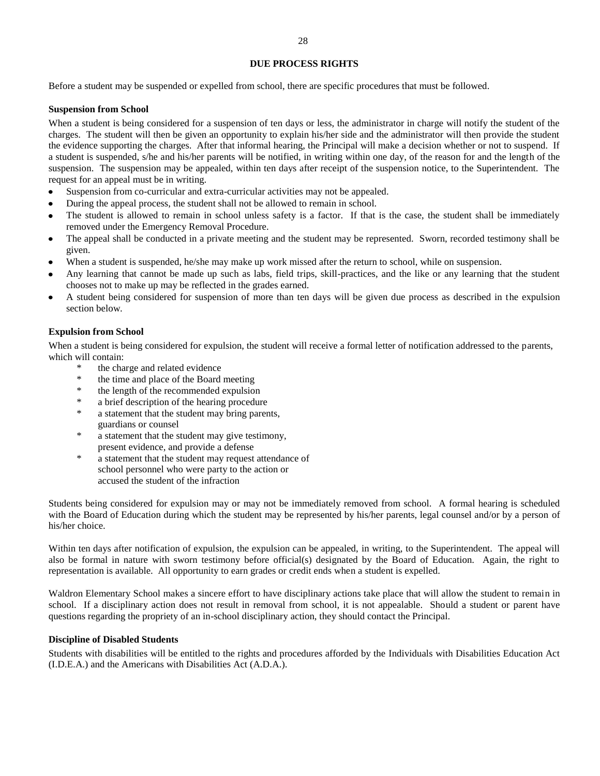## **DUE PROCESS RIGHTS**

Before a student may be suspended or expelled from school, there are specific procedures that must be followed.

#### **Suspension from School**

When a student is being considered for a suspension of ten days or less, the administrator in charge will notify the student of the charges. The student will then be given an opportunity to explain his/her side and the administrator will then provide the student the evidence supporting the charges. After that informal hearing, the Principal will make a decision whether or not to suspend. If a student is suspended, s/he and his/her parents will be notified, in writing within one day, of the reason for and the length of the suspension. The suspension may be appealed, within ten days after receipt of the suspension notice, to the Superintendent. The request for an appeal must be in writing.

- Suspension from co-curricular and extra-curricular activities may not be appealed.
- During the appeal process, the student shall not be allowed to remain in school.
- The student is allowed to remain in school unless safety is a factor. If that is the case, the student shall be immediately removed under the Emergency Removal Procedure.
- The appeal shall be conducted in a private meeting and the student may be represented. Sworn, recorded testimony shall be given.
- When a student is suspended, he/she may make up work missed after the return to school, while on suspension.
- Any learning that cannot be made up such as labs, field trips, skill-practices, and the like or any learning that the student chooses not to make up may be reflected in the grades earned.
- A student being considered for suspension of more than ten days will be given due process as described in the expulsion section below.

## **Expulsion from School**

When a student is being considered for expulsion, the student will receive a formal letter of notification addressed to the parents, which will contain:

- the charge and related evidence
- \* the time and place of the Board meeting<br>\* the length of the recommended expulsion
- the length of the recommended expulsion
- \* a brief description of the hearing procedure
- \* a statement that the student may bring parents, guardians or counsel
- \* a statement that the student may give testimony, present evidence, and provide a defense
- \* a statement that the student may request attendance of school personnel who were party to the action or accused the student of the infraction

Students being considered for expulsion may or may not be immediately removed from school. A formal hearing is scheduled with the Board of Education during which the student may be represented by his/her parents, legal counsel and/or by a person of his/her choice.

Within ten days after notification of expulsion, the expulsion can be appealed, in writing, to the Superintendent. The appeal will also be formal in nature with sworn testimony before official(s) designated by the Board of Education. Again, the right to representation is available. All opportunity to earn grades or credit ends when a student is expelled.

Waldron Elementary School makes a sincere effort to have disciplinary actions take place that will allow the student to remain in school. If a disciplinary action does not result in removal from school, it is not appealable. Should a student or parent have questions regarding the propriety of an in-school disciplinary action, they should contact the Principal.

## **Discipline of Disabled Students**

Students with disabilities will be entitled to the rights and procedures afforded by the Individuals with Disabilities Education Act (I.D.E.A.) and the Americans with Disabilities Act (A.D.A.).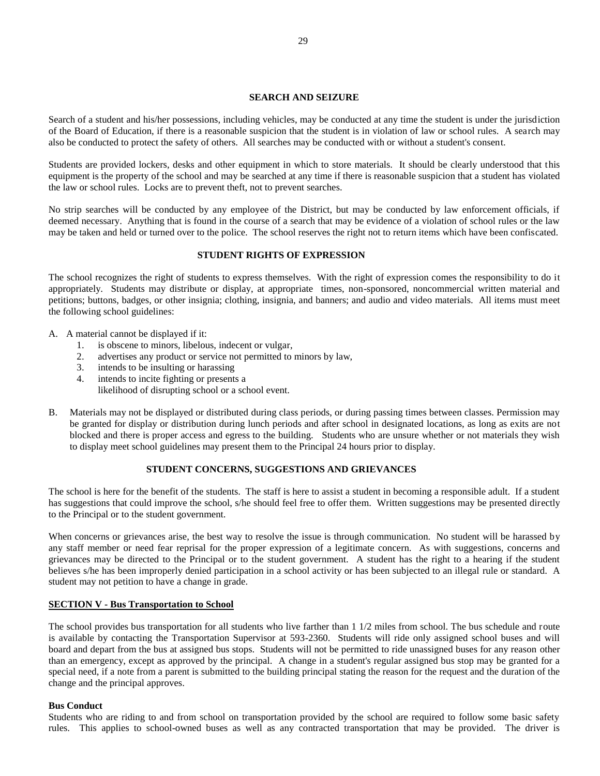## **SEARCH AND SEIZURE**

Search of a student and his/her possessions, including vehicles, may be conducted at any time the student is under the jurisdiction of the Board of Education, if there is a reasonable suspicion that the student is in violation of law or school rules. A search may also be conducted to protect the safety of others. All searches may be conducted with or without a student's consent.

Students are provided lockers, desks and other equipment in which to store materials. It should be clearly understood that this equipment is the property of the school and may be searched at any time if there is reasonable suspicion that a student has violated the law or school rules. Locks are to prevent theft, not to prevent searches.

No strip searches will be conducted by any employee of the District, but may be conducted by law enforcement officials, if deemed necessary. Anything that is found in the course of a search that may be evidence of a violation of school rules or the law may be taken and held or turned over to the police. The school reserves the right not to return items which have been confiscated.

## **STUDENT RIGHTS OF EXPRESSION**

The school recognizes the right of students to express themselves. With the right of expression comes the responsibility to do it appropriately. Students may distribute or display, at appropriate times, non-sponsored, noncommercial written material and petitions; buttons, badges, or other insignia; clothing, insignia, and banners; and audio and video materials. All items must meet the following school guidelines:

- A. A material cannot be displayed if it:
	- 1. is obscene to minors, libelous, indecent or vulgar,
	- 2. advertises any product or service not permitted to minors by law,
	- 3. intends to be insulting or harassing
	- 4. intends to incite fighting or presents a
		- likelihood of disrupting school or a school event.
- B. Materials may not be displayed or distributed during class periods, or during passing times between classes. Permission may be granted for display or distribution during lunch periods and after school in designated locations, as long as exits are not blocked and there is proper access and egress to the building. Students who are unsure whether or not materials they wish to display meet school guidelines may present them to the Principal 24 hours prior to display.

## **STUDENT CONCERNS, SUGGESTIONS AND GRIEVANCES**

The school is here for the benefit of the students. The staff is here to assist a student in becoming a responsible adult. If a student has suggestions that could improve the school, s/he should feel free to offer them. Written suggestions may be presented directly to the Principal or to the student government.

When concerns or grievances arise, the best way to resolve the issue is through communication. No student will be harassed by any staff member or need fear reprisal for the proper expression of a legitimate concern. As with suggestions, concerns and grievances may be directed to the Principal or to the student government. A student has the right to a hearing if the student believes s/he has been improperly denied participation in a school activity or has been subjected to an illegal rule or standard. A student may not petition to have a change in grade.

## **SECTION V - Bus Transportation to School**

The school provides bus transportation for all students who live farther than 1 1/2 miles from school. The bus schedule and route is available by contacting the Transportation Supervisor at 593-2360. Students will ride only assigned school buses and will board and depart from the bus at assigned bus stops. Students will not be permitted to ride unassigned buses for any reason other than an emergency, except as approved by the principal. A change in a student's regular assigned bus stop may be granted for a special need, if a note from a parent is submitted to the building principal stating the reason for the request and the duration of the change and the principal approves.

## **Bus Conduct**

Students who are riding to and from school on transportation provided by the school are required to follow some basic safety rules. This applies to school-owned buses as well as any contracted transportation that may be provided. The driver is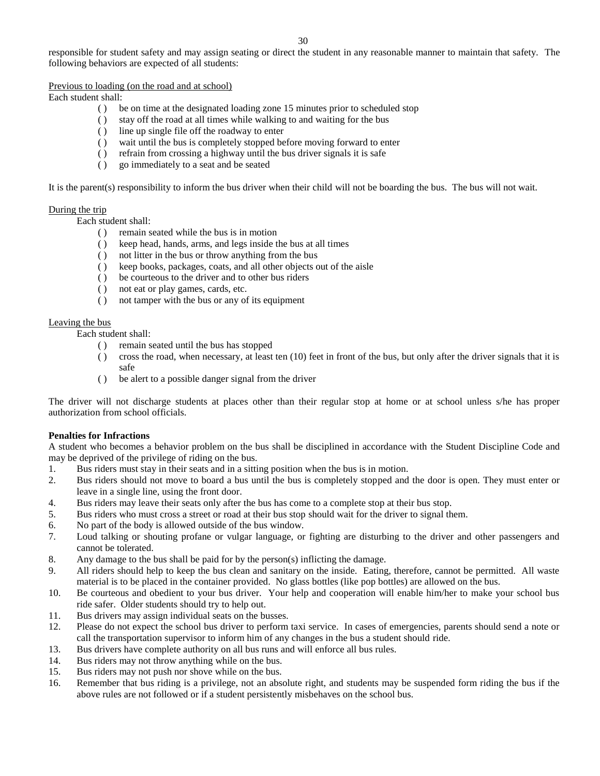responsible for student safety and may assign seating or direct the student in any reasonable manner to maintain that safety. The following behaviors are expected of all students:

## Previous to loading (on the road and at school)

Each student shall:

- ( ) be on time at the designated loading zone 15 minutes prior to scheduled stop
- ( ) stay off the road at all times while walking to and waiting for the bus
- ( ) line up single file off the roadway to enter
- ( ) wait until the bus is completely stopped before moving forward to enter
- ( ) refrain from crossing a highway until the bus driver signals it is safe
- ( ) go immediately to a seat and be seated

It is the parent(s) responsibility to inform the bus driver when their child will not be boarding the bus. The bus will not wait.

## During the trip

Each student shall:

- ( ) remain seated while the bus is in motion
- ( ) keep head, hands, arms, and legs inside the bus at all times
- ( ) not litter in the bus or throw anything from the bus
- ( ) keep books, packages, coats, and all other objects out of the aisle
- ( ) be courteous to the driver and to other bus riders
- ( ) not eat or play games, cards, etc.
- ( ) not tamper with the bus or any of its equipment

## Leaving the bus

Each student shall:

- ( ) remain seated until the bus has stopped
- ( ) cross the road, when necessary, at least ten (10) feet in front of the bus, but only after the driver signals that it is safe
- ( ) be alert to a possible danger signal from the driver

The driver will not discharge students at places other than their regular stop at home or at school unless s/he has proper authorization from school officials.

## **Penalties for Infractions**

A student who becomes a behavior problem on the bus shall be disciplined in accordance with the Student Discipline Code and may be deprived of the privilege of riding on the bus.

- 1. Bus riders must stay in their seats and in a sitting position when the bus is in motion.
- 2. Bus riders should not move to board a bus until the bus is completely stopped and the door is open. They must enter or leave in a single line, using the front door.
- 4. Bus riders may leave their seats only after the bus has come to a complete stop at their bus stop.
- 5. Bus riders who must cross a street or road at their bus stop should wait for the driver to signal them.
- 6. No part of the body is allowed outside of the bus window.
- 7. Loud talking or shouting profane or vulgar language, or fighting are disturbing to the driver and other passengers and cannot be tolerated.
- 8. Any damage to the bus shall be paid for by the person(s) inflicting the damage.
- 9. All riders should help to keep the bus clean and sanitary on the inside. Eating, therefore, cannot be permitted. All waste material is to be placed in the container provided. No glass bottles (like pop bottles) are allowed on the bus.
- 10. Be courteous and obedient to your bus driver. Your help and cooperation will enable him/her to make your school bus ride safer. Older students should try to help out.
- 11. Bus drivers may assign individual seats on the busses.
- 12. Please do not expect the school bus driver to perform taxi service. In cases of emergencies, parents should send a note or call the transportation supervisor to inform him of any changes in the bus a student should ride.
- 13. Bus drivers have complete authority on all bus runs and will enforce all bus rules.
- 14. Bus riders may not throw anything while on the bus.
- 15. Bus riders may not push nor shove while on the bus.
- 16. Remember that bus riding is a privilege, not an absolute right, and students may be suspended form riding the bus if the above rules are not followed or if a student persistently misbehaves on the school bus.